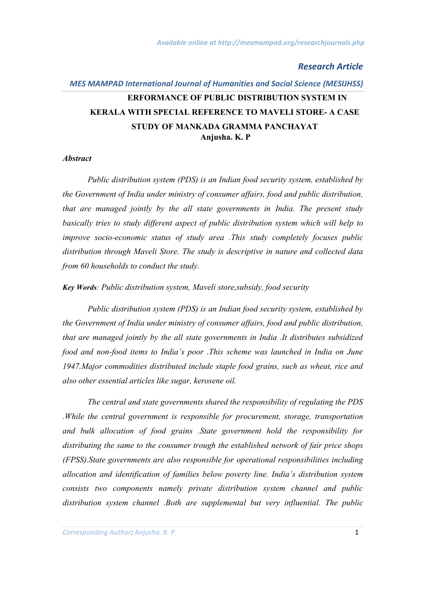# *MES MAMPAD International Journal of Humanities and Social Science (MESIJHSS)* **Anjusha. K. P ERFORMANCE OF PUBLIC DISTRIBUTION SYSTEM IN KERALA WITH SPECIAL REFERENCE TO MAVELI STORE- A CASE STUDY OF MANKADA GRAMMA PANCHAYAT**

#### *Abstract*

*Public distribution system (PDS) is an Indian food security system, established by the Government of India under ministry of consumer affairs, food and public distribution, that are managed jointly by the all state governments in India. The present study basically tries to study different aspect of public distribution system which will help to improve socio-economic status of study area .This study completely focuses public distribution through Maveli Store. The study is descriptive in nature and collected data from 60 households to conduct the study.*

*Key Words: Public distribution system, Maveli store,subsidy, food security*

*Public distribution system (PDS) is an Indian food security system, established by the Government of India under ministry of consumer affairs, food and public distribution, that are managed jointly by the all state governments in India .It distributes subsidized food and non-food items to India's poor .This scheme was launched in India on June 1947.Major commodities distributed include staple food grains, such as wheat, rice and also other essential articles like sugar, kerosene oil.*

*The central and state governments shared the responsibility of regulating the PDS .While the central government is responsible for procurement, storage, transportation and bulk allocation of food grains .State government hold the responsibility for distributing the same to the consumer trough the established network of fair price shops (FPSS).State governments are also responsible for operational responsibilities including allocation and identification of families below poverty line. India's distribution system consists two components namely private distribution system channel and public distribution system channel .Both are supplemental but very influential. The public*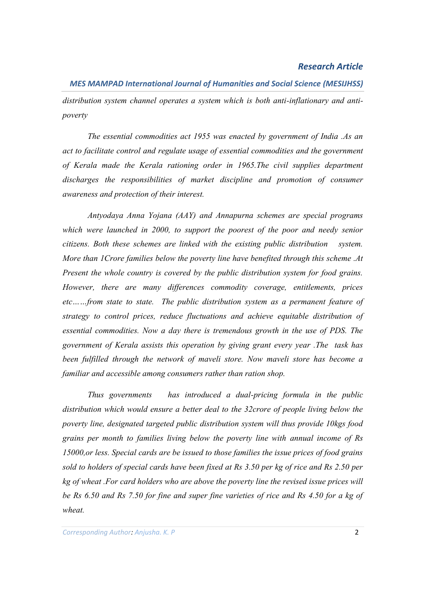*MES MAMPAD International Journal of Humanities and Social Science (MESIJHSS) distribution system channel operates a system which is both anti-inflationary and antipoverty*

*The essential commodities act 1955 was enacted by government of India .As an act to facilitate control and regulate usage of essential commodities and the government of Kerala made the Kerala rationing order in 1965.The civil supplies department*  discharges the responsibilities of market discipline and promotion of consumer *awareness and protection of their interest.*

*Antyodaya Anna Yojana (AAY) and Annapurna schemes are special programs which were launched in 2000, to support the poorest of the poor and needy senior citizens. Both these schemes are linked with the existing public distribution system. More than 1Crore families below the poverty line have benefited through this scheme .At Present the whole country is covered by the public distribution system for food grains. However, there are many differences commodity coverage, entitlements, prices etc……from state to state. The public distribution system as a permanent feature of strategy to control prices, reduce fluctuations and achieve equitable distribution of essential commodities. Now a day there is tremendous growth in the use of PDS. The government of Kerala assists this operation by giving grant every year .The task has been fulfilled through the network of maveli store. Now maveli store has become a familiar and accessible among consumers rather than ration shop.*

*Thus governments has introduced a dual-pricing formula in the public distribution which would ensure a better deal to the 32crore of people living below the poverty line, designated targeted public distribution system will thus provide 10kgs food grains per month to families living below the poverty line with annual income of Rs 15000,or less. Special cards are be issued to those families the issue prices of food grains sold to holders of special cards have been fixed at Rs 3.50 per kg of rice and Rs 2.50 per kg of wheat .For card holders who are above the poverty line the revised issue prices will be Rs 6.50 and Rs 7.50 for fine and super fine varieties of rice and Rs 4.50 for a kg of wheat.*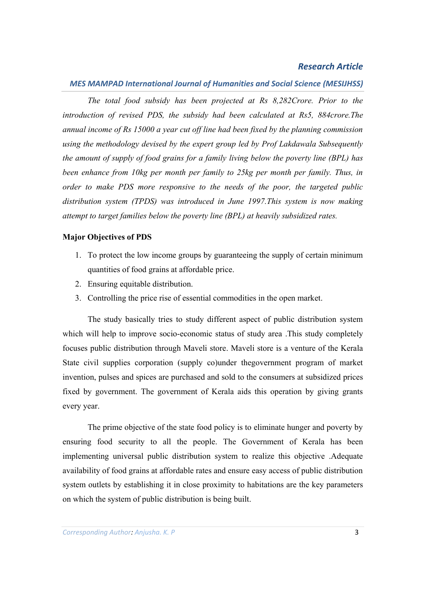## *MES MAMPAD International Journal of Humanities and Social Science (MESIJHSS)*

*The total food subsidy has been projected at Rs 8,282Crore. Prior to the introduction of revised PDS, the subsidy had been calculated at Rs5, 884crore.The annual income of Rs 15000 a year cut off line had been fixed by the planning commission using the methodology devised by the expert group led by Prof Lakdawala Subsequently the amount of supply of food grains for a family living below the poverty line (BPL) has been enhance from 10kg per month per family to 25kg per month per family. Thus, in order to make PDS more responsive to the needs of the poor, the targeted public distribution system (TPDS) was introduced in June 1997.This system is now making attempt to target families below the poverty line (BPL) at heavily subsidized rates.*

#### **Major Objectives of PDS**

- 1. To protect the low income groups by guaranteeing the supply of certain minimum quantities of food grains at affordable price.
- 2. Ensuring equitable distribution.
- 3. Controlling the price rise of essential commodities in the open market.

The study basically tries to study different aspect of public distribution system which will help to improve socio-economic status of study area .This study completely focuses public distribution through Maveli store. Maveli store is a venture of the Kerala State civil supplies corporation (supply co)under thegovernment program of market invention, pulses and spices are purchased and sold to the consumers at subsidized prices fixed by government. The government of Kerala aids this operation by giving grants every year.

The prime objective of the state food policy is to eliminate hunger and poverty by ensuring food security to all the people. The Government of Kerala has been implementing universal public distribution system to realize this objective .Adequate availability of food grains at affordable rates and ensure easy access of public distribution system outlets by establishing it in close proximity to habitations are the key parameters on which the system of public distribution is being built.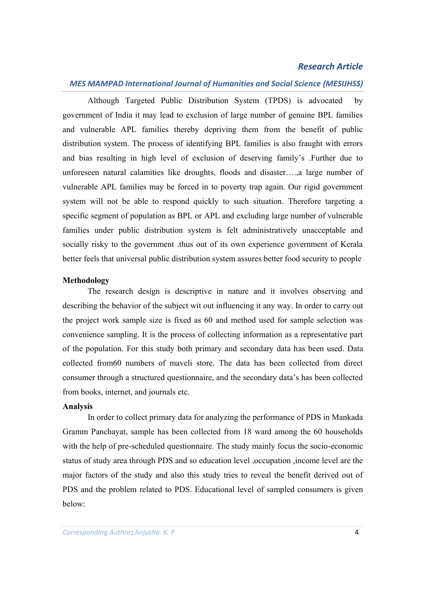## *MES MAMPAD International Journal of Humanities and Social Science (MESIJHSS)*

Although Targeted Public Distribution System (TPDS) is advocated by government of India it may lead to exclusion of large number of genuine BPL families and vulnerable APL families thereby depriving them from the benefit of public distribution system. The process of identifying BPL families is also fraught with errors and bias resulting in high level of exclusion of deserving family's .Further due to unforeseen natural calamities like droughts, floods and disaster….,a large number of vulnerable APL families may be forced in to poverty trap again. Our rigid government system will not be able to respond quickly to such situation. Therefore targeting a specific segment of population as BPL or APL and excluding large number of vulnerable families under public distribution system is felt administratively unacceptable and socially risky to the government .thus out of its own experience government of Kerala better feels that universal public distribution system assures better food security to people

#### **Methodology**

The research design is descriptive in nature and it involves observing and describing the behavior of the subject wit out influencing it any way. In order to carry out the project work sample size is fixed as 60 and method used for sample selection was convenience sampling. It is the process of collecting information as a representative part of the population. For this study both primary and secondary data has been used. Data collected from60 numbers of maveli store. The data has been collected from direct consumer through a structured questionnaire, and the secondary data's has been collected from books, internet, and journals etc.

#### **Analysis**

In order to collect primary data for analyzing the performance of PDS in Mankada Gramm Panchayat, sample has been collected from 18 ward among the 60 households with the help of pre-scheduled questionnaire. The study mainly focus the socio-economic status of study area through PDS and so education level ,occupation ,income level are the major factors of the study and also this study tries to reveal the benefit derived out of PDS and the problem related to PDS. Educational level of sampled consumers is given below: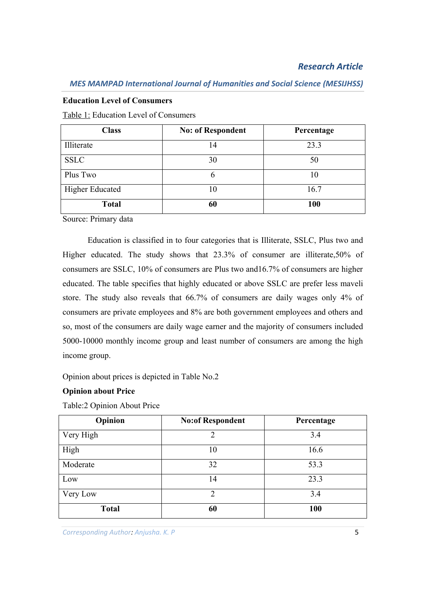#### **Education Level of Consumers**

Table 1: Education Level of Consumers

| <b>Class</b>           | <b>No: of Respondent</b> | Percentage |
|------------------------|--------------------------|------------|
| Illiterate             | 14                       | 23.3       |
| <b>SSLC</b>            | 30                       | 50         |
| Plus Two               |                          | 10         |
| <b>Higher Educated</b> | 10                       | 16.7       |
| <b>Total</b>           | 60                       | 100        |

Source: Primary data

Education is classified in to four categories that is Illiterate, SSLC, Plus two and Higher educated. The study shows that 23.3% of consumer are illiterate,50% of consumers are SSLC, 10% of consumers are Plus two and16.7% of consumers are higher educated. The table specifies that highly educated or above SSLC are prefer less maveli store. The study also reveals that 66.7% of consumers are daily wages only 4% of consumers are private employees and 8% are both government employees and others and so, most of the consumers are daily wage earner and the majority of consumers included 5000-10000 monthly income group and least number of consumers are among the high income group.

Opinion about prices is depicted in Table No.2

#### **Opinion about Price**

Table:2 Opinion About Price

| Opinion      | <b>No:of Respondent</b> | Percentage |
|--------------|-------------------------|------------|
| Very High    | 2                       | 3.4        |
| High         | 10                      | 16.6       |
| Moderate     | 32                      | 53.3       |
| Low          | 14                      | 23.3       |
| Very Low     | $\mathcal{D}$           | 3.4        |
| <b>Total</b> | 60                      | 100        |

**Corresponding Author: Anjusha. K. P** 5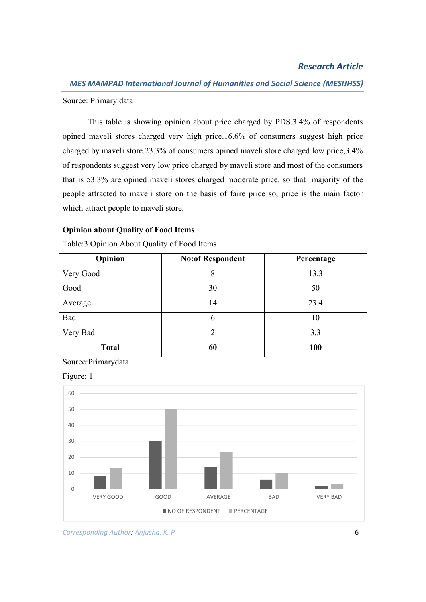Source: Primary data

This table is showing opinion about price charged by PDS.3.4% of respondents opined maveli stores charged very high price.16.6% of consumers suggest high price charged by maveli store.23.3% of consumers opined maveli store charged low price,3.4% of respondents suggest very low price charged by maveli store and most of the consumers that is 53.3% are opined maveli stores charged moderate price. so that majority of the people attracted to maveli store on the basis of faire price so, price is the main factor which attract people to maveli store.

#### **Opinion about Quality of Food Items**

| Opinion      | <b>No:of Respondent</b> | Percentage |
|--------------|-------------------------|------------|
| Very Good    | 8                       | 13.3       |
| Good         | 30                      | 50         |
| Average      | 14                      | 23.4       |
| Bad          | 6                       | 10         |
| Very Bad     | $\mathfrak{D}$          | 3.3        |
| <b>Total</b> | 60                      | 100        |

Table:3 Opinion About Quality of Food Items

Source:Primarydata



Figure: 1

**Corresponding Author: Anjusha. K. P** 6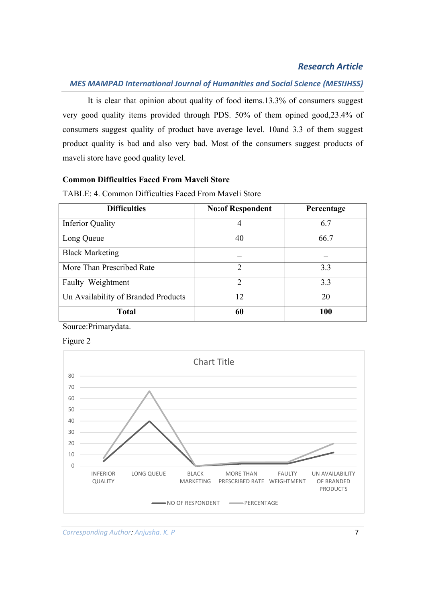## *MES MAMPAD International Journal of Humanities and Social Science (MESIJHSS)*

It is clear that opinion about quality of food items.13.3% of consumers suggest very good quality items provided through PDS. 50% of them opined good,23.4% of consumers suggest quality of product have average level. 10and 3.3 of them suggest product quality is bad and also very bad. Most of the consumers suggest products of maveli store have good quality level.

## **Common Difficulties Faced From Maveli Store**

| <b>Difficulties</b>                 | <b>No:of Respondent</b> | Percentage |
|-------------------------------------|-------------------------|------------|
| <b>Inferior Quality</b>             | 4                       | 6.7        |
| Long Queue                          | 40                      | 66.7       |
| <b>Black Marketing</b>              |                         |            |
| More Than Prescribed Rate           | $\mathcal{D}$           | 3.3        |
| Faulty Weightment                   | $\mathcal{D}$           | 3.3        |
| Un Availability of Branded Products | 12                      | 20         |
| <b>Total</b>                        | 60                      | 100        |

TABLE: 4. Common Difficulties Faced From Maveli Store

Source:Primarydata.



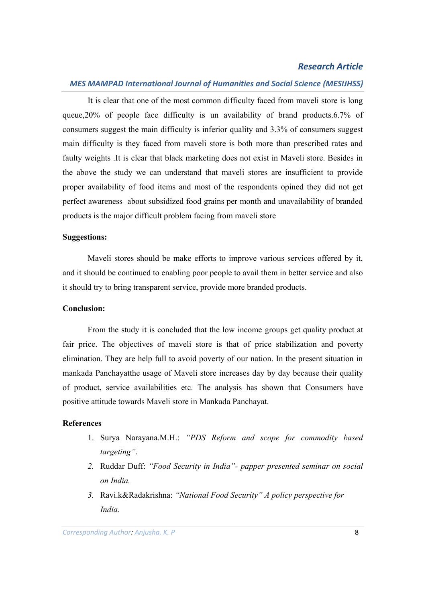## *MES MAMPAD International Journal of Humanities and Social Science (MESIJHSS)*

It is clear that one of the most common difficulty faced from maveli store is long queue,20% of people face difficulty is un availability of brand products.6.7% of consumers suggest the main difficulty is inferior quality and 3.3% of consumers suggest main difficulty is they faced from maveli store is both more than prescribed rates and faulty weights .It is clear that black marketing does not exist in Maveli store. Besides in the above the study we can understand that maveli stores are insufficient to provide proper availability of food items and most of the respondents opined they did not get perfect awareness about subsidized food grains per month and unavailability of branded products is the major difficult problem facing from maveli store

#### **Suggestions:**

Maveli stores should be make efforts to improve various services offered by it, and it should be continued to enabling poor people to avail them in better service and also it should try to bring transparent service, provide more branded products.

#### **Conclusion:**

From the study it is concluded that the low income groups get quality product at fair price. The objectives of maveli store is that of price stabilization and poverty elimination. They are help full to avoid poverty of our nation. In the present situation in mankada Panchayatthe usage of Maveli store increases day by day because their quality of product, service availabilities etc. The analysis has shown that Consumers have positive attitude towards Maveli store in Mankada Panchayat.

#### **References**

- 1. Surya Narayana.M.H.: *"PDS Reform and scope for commodity based targeting"*.
- *2.* Ruddar Duff: *"Food Security in India"- papper presented seminar on social on India.*
- *3.* Ravi.k&Radakrishna: *"National Food Security" A policy perspective for India.*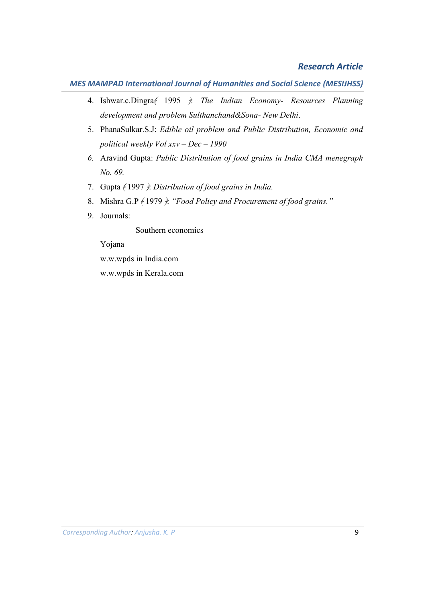- 4. Ishwar.c.Dingra﴾ 1995 ﴿: *The Indian Economy- Resources Planning development and problem Sulthanchand&Sona- New Delhi*.
- 5. PhanaSulkar.S.J: *Edible oil problem and Public Distribution, Economic and political weekly Vol xxv – Dec – 1990*
- *6.* Aravind Gupta: *Public Distribution of food grains in India CMA menegraph No. 69.*
- 7. Gupta ﴾ 1997 ﴿: *Distribution of food grains in India.*
- 8. Mishra G.P  $\{1979\}$ : "Food Policy and Procurement of food grains."
- 9. Journals:

Southern economics

Yojana

w.w.wpds in India.com

w.w.wpds in Kerala.com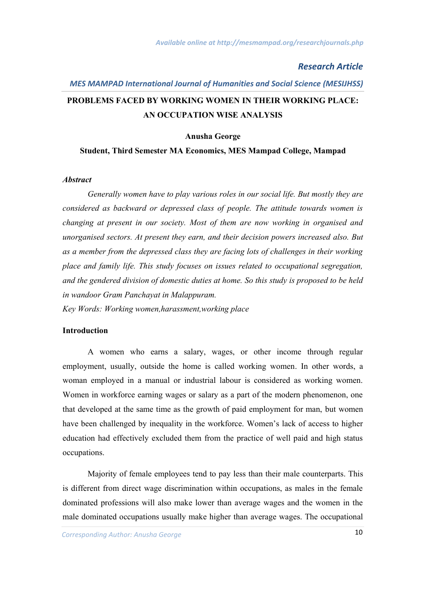# *MES MAMPAD International Journal of Humanities and Social Science (MESIJHSS)* **PROBLEMS FACED BY WORKING WOMEN IN THEIR WORKING PLACE: AN OCCUPATION WISE ANALYSIS**

#### **Anusha George**

#### **Student, Third Semester MA Economics, MES Mampad College, Mampad**

#### *Abstract*

*Generally women have to play various roles in our social life. But mostly they are considered as backward or depressed class of people. The attitude towards women is changing at present in our society. Most of them are now working in organised and unorganised sectors. At present they earn, and their decision powers increased also. But as a member from the depressed class they are facing lots of challenges in their working place and family life. This study focuses on issues related to occupational segregation, and the gendered division of domestic duties at home. So this study is proposed to be held in wandoor Gram Panchayat in Malappuram.*

*Key Words: Working women,harassment,working place*

#### **Introduction**

A women who earns a salary, wages, or other income through regular employment, usually, outside the home is called working women. In other words, a woman employed in a manual or industrial labour is considered as working women. Women in workforce earning wages or salary as a part of the modern phenomenon, one that developed at the same time as the growth of paid employment for man, but women have been challenged by inequality in the workforce. Women's lack of access to higher education had effectively excluded them from the practice of well paid and high status occupations.

Majority of female employees tend to pay less than their male counterparts. This is different from direct wage discrimination within occupations, as males in the female dominated professions will also make lower than average wages and the women in the male dominated occupations usually make higher than average wages. The occupational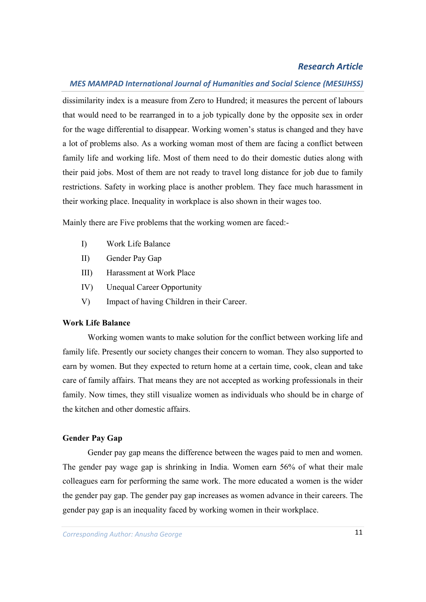## *MES MAMPAD International Journal of Humanities and Social Science (MESIJHSS)*

dissimilarity index is a measure from Zero to Hundred; it measures the percent of labours that would need to be rearranged in to a job typically done by the opposite sex in order for the wage differential to disappear. Working women's status is changed and they have a lot of problems also. As a working woman most of them are facing a conflict between family life and working life. Most of them need to do their domestic duties along with their paid jobs. Most of them are not ready to travel long distance for job due to family restrictions. Safety in working place is another problem. They face much harassment in their working place. Inequality in workplace is also shown in their wages too.

Mainly there are Five problems that the working women are faced:-

- I) Work Life Balance
- II) Gender Pay Gap
- III) Harassment at Work Place
- IV) Unequal Career Opportunity
- V) Impact of having Children in their Career.

#### **Work Life Balance**

Working women wants to make solution for the conflict between working life and family life. Presently our society changes their concern to woman. They also supported to earn by women. But they expected to return home at a certain time, cook, clean and take care of family affairs. That means they are not accepted as working professionals in their family. Now times, they still visualize women as individuals who should be in charge of the kitchen and other domestic affairs.

#### **Gender Pay Gap**

Gender pay gap means the difference between the wages paid to men and women. The gender pay wage gap is shrinking in India. Women earn 56% of what their male colleagues earn for performing the same work. The more educated a women is the wider the gender pay gap. The gender pay gap increases as women advance in their careers. The gender pay gap is an inequality faced by working women in their workplace.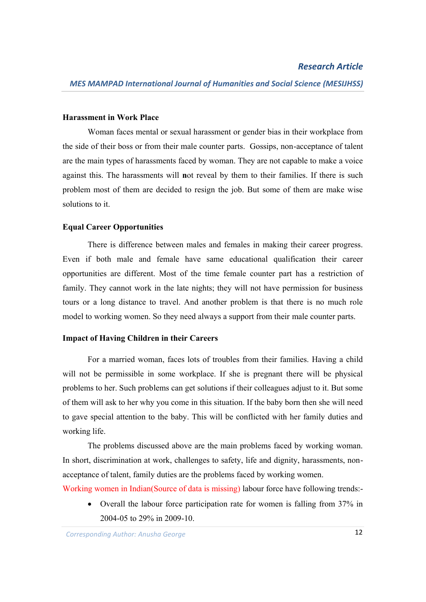#### **Harassment in Work Place**

Woman faces mental or sexual harassment or gender bias in their workplace from the side of their boss or from their male counter parts. Gossips, non-acceptance of talent are the main types of harassments faced by woman. They are not capable to make a voice against this. The harassments will **n**ot reveal by them to their families. If there is such problem most of them are decided to resign the job. But some of them are make wise solutions to it.

#### **Equal Career Opportunities**

There is difference between males and females in making their career progress. Even if both male and female have same educational qualification their career opportunities are different. Most of the time female counter part has a restriction of family. They cannot work in the late nights; they will not have permission for business tours or a long distance to travel. And another problem is that there is no much role model to working women. So they need always a support from their male counter parts.

#### **Impact of Having Children in their Careers**

For a married woman, faces lots of troubles from their families. Having a child will not be permissible in some workplace. If she is pregnant there will be physical problems to her. Such problems can get solutions if their colleagues adjust to it. But some of them will ask to her why you come in this situation. If the baby born then she will need to gave special attention to the baby. This will be conflicted with her family duties and working life.

The problems discussed above are the main problems faced by working woman. In short, discrimination at work, challenges to safety, life and dignity, harassments, nonacceptance of talent, family duties are the problems faced by working women.

Working women in Indian(Source of data is missing) labour force have following trends:-

 Overall the labour force participation rate for women is falling from 37% in 2004-05 to 29% in 2009-10.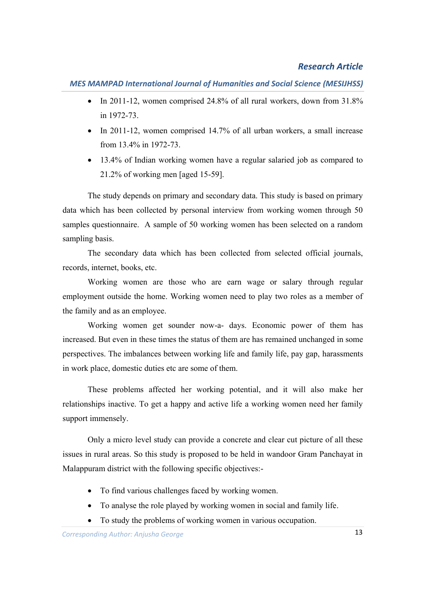*MES MAMPAD International Journal of Humanities and Social Science (MESIJHSS)*

- In 2011-12, women comprised 24.8% of all rural workers, down from 31.8% in 1972-73.
- $\bullet$  In 2011-12, women comprised 14.7% of all urban workers, a small increase from 13.4% in 1972-73.
- 13.4% of Indian working women have a regular salaried job as compared to 21.2% of working men [aged 15-59].

The study depends on primary and secondary data. This study is based on primary data which has been collected by personal interview from working women through 50 samples questionnaire. A sample of 50 working women has been selected on a random sampling basis.

The secondary data which has been collected from selected official journals, records, internet, books, etc.

Working women are those who are earn wage or salary through regular employment outside the home. Working women need to play two roles as a member of the family and as an employee.

Working women get sounder now-a- days. Economic power of them has increased. But even in these times the status of them are has remained unchanged in some perspectives. The imbalances between working life and family life, pay gap, harassments in work place, domestic duties etc are some of them.

These problems affected her working potential, and it will also make her relationships inactive. To get a happy and active life a working women need her family support immensely.

Only a micro level study can provide a concrete and clear cut picture of all these issues in rural areas. So this study is proposed to be held in wandoor Gram Panchayat in Malappuram district with the following specific objectives:-

- To find various challenges faced by working women.
- To analyse the role played by working women in social and family life.
- To study the problems of working women in various occupation.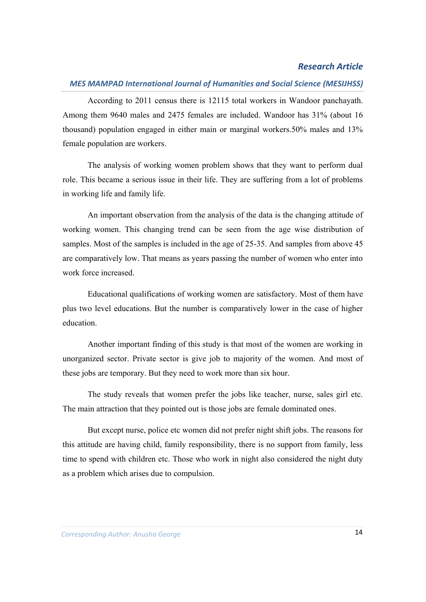## *MES MAMPAD International Journal of Humanities and Social Science (MESIJHSS)*

According to 2011 census there is 12115 total workers in Wandoor panchayath. Among them 9640 males and 2475 females are included. Wandoor has 31% (about 16 thousand) population engaged in either main or marginal workers.50% males and 13% female population are workers.

The analysis of working women problem shows that they want to perform dual role. This became a serious issue in their life. They are suffering from a lot of problems in working life and family life.

An important observation from the analysis of the data is the changing attitude of working women. This changing trend can be seen from the age wise distribution of samples. Most of the samples is included in the age of 25-35. And samples from above 45 are comparatively low. That means as years passing the number of women who enter into work force increased.

Educational qualifications of working women are satisfactory. Most of them have plus two level educations. But the number is comparatively lower in the case of higher education.

Another important finding of this study is that most of the women are working in unorganized sector. Private sector is give job to majority of the women. And most of these jobs are temporary. But they need to work more than six hour.

The study reveals that women prefer the jobs like teacher, nurse, sales girl etc. The main attraction that they pointed out is those jobs are female dominated ones.

But except nurse, police etc women did not prefer night shift jobs. The reasons for this attitude are having child, family responsibility, there is no support from family, less time to spend with children etc. Those who work in night also considered the night duty as a problem which arises due to compulsion.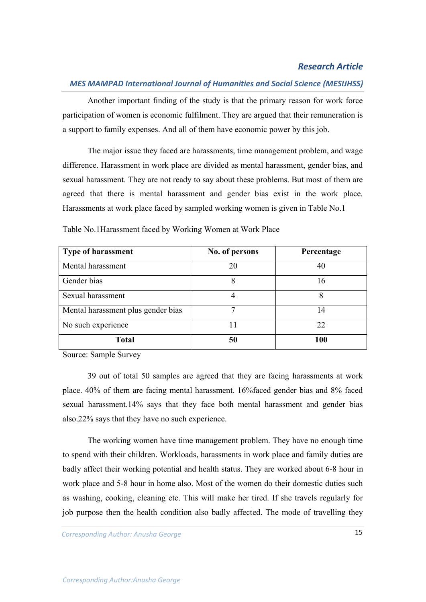## *MES MAMPAD International Journal of Humanities and Social Science (MESIJHSS)*

Another important finding of the study is that the primary reason for work force participation of women is economic fulfilment. They are argued that their remuneration is a support to family expenses. And all of them have economic power by this job.

The major issue they faced are harassments, time management problem, and wage difference. Harassment in work place are divided as mental harassment, gender bias, and sexual harassment. They are not ready to say about these problems. But most of them are agreed that there is mental harassment and gender bias exist in the work place. Harassments at work place faced by sampled working women is given in Table No.1

| <b>Type of harassment</b>          | No. of persons | Percentage |
|------------------------------------|----------------|------------|
| Mental harassment                  | 20             | 40         |
| Gender bias                        | 8              | 16         |
| Sexual harassment                  |                |            |
| Mental harassment plus gender bias |                | 14         |
| No such experience                 |                | 22         |
| <b>Total</b>                       | 50             | 100        |

Table No.1Harassment faced by Working Women at Work Place

Source: Sample Survey

39 out of total 50 samples are agreed that they are facing harassments at work place. 40% of them are facing mental harassment. 16%faced gender bias and 8% faced sexual harassment.14% says that they face both mental harassment and gender bias also.22% says that they have no such experience.

The working women have time management problem. They have no enough time to spend with their children. Workloads, harassments in work place and family duties are badly affect their working potential and health status. They are worked about 6-8 hour in work place and 5-8 hour in home also. Most of the women do their domestic duties such as washing, cooking, cleaning etc. This will make her tired. If she travels regularly for job purpose then the health condition also badly affected. The mode of travelling they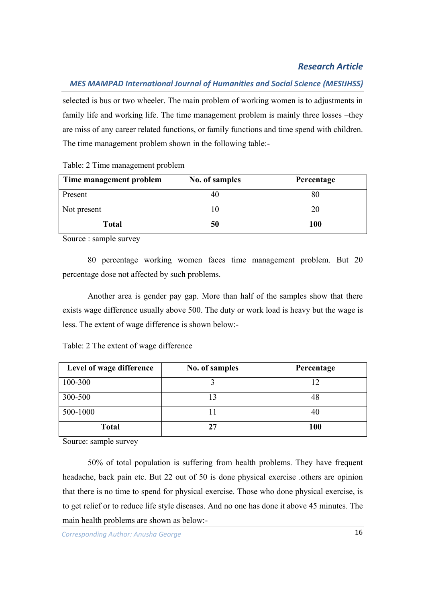## *MES MAMPAD International Journal of Humanities and Social Science (MESIJHSS)*

selected is bus or two wheeler. The main problem of working women is to adjustments in family life and working life. The time management problem is mainly three losses –they are miss of any career related functions, or family functions and time spend with children. The time management problem shown in the following table:-

Table: 2 Time management problem

| Time management problem | No. of samples | Percentage |
|-------------------------|----------------|------------|
| Present                 |                |            |
| Not present             |                |            |
| <b>Total</b>            | 50             | 100        |

Source : sample survey

80 percentage working women faces time management problem. But 20 percentage dose not affected by such problems.

Another area is gender pay gap. More than half of the samples show that there exists wage difference usually above 500. The duty or work load is heavy but the wage is less. The extent of wage difference is shown below:-

| Level of wage difference | No. of samples | Percentage |
|--------------------------|----------------|------------|
| 100-300                  |                | 12         |
| 300-500                  | 13             | 48         |
| 500-1000                 |                | 40         |
| <b>Total</b>             | די             | .00        |

Table: 2 The extent of wage difference

Source: sample survey

50% of total population is suffering from health problems. They have frequent headache, back pain etc. But 22 out of 50 is done physical exercise .others are opinion that there is no time to spend for physical exercise. Those who done physical exercise, is to get relief or to reduce life style diseases. And no one has done it above 45 minutes. The main health problems are shown as below:-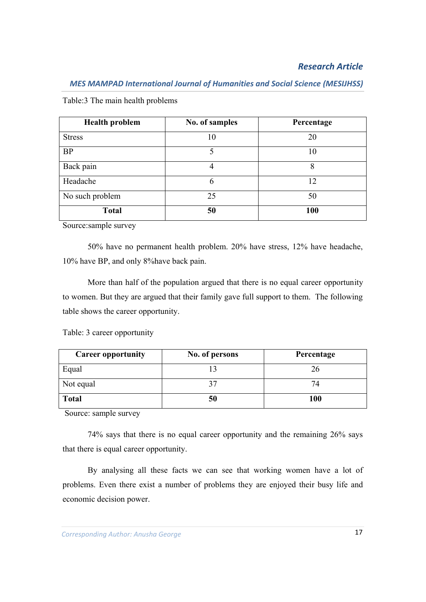| <b>Health problem</b> | No. of samples | Percentage |
|-----------------------|----------------|------------|
| <b>Stress</b>         | 10             | 20         |
| <b>BP</b>             |                | 10         |
| Back pain             |                | 8          |
| Headache              | 6              | 12         |
| No such problem       | 25             | 50         |
| <b>Total</b>          | 50             | 100        |

Table:3 The main health problems

Source:sample survey

50% have no permanent health problem. 20% have stress, 12% have headache, 10% have BP, and only 8%have back pain.

More than half of the population argued that there is no equal career opportunity to women. But they are argued that their family gave full support to them. The following table shows the career opportunity.

Table: 3 career opportunity

| <b>Career opportunity</b> | No. of persons | Percentage |
|---------------------------|----------------|------------|
| Equal                     |                | 26         |
| Not equal                 |                | 74         |
| <b>Total</b>              | 50             | 100        |

Source: sample survey

74% says that there is no equal career opportunity and the remaining 26% says that there is equal career opportunity.

By analysing all these facts we can see that working women have a lot of problems. Even there exist a number of problems they are enjoyed their busy life and economic decision power.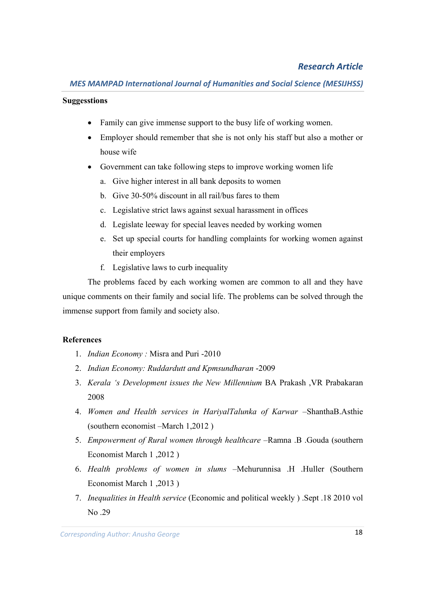#### **Suggesstions**

- Family can give immense support to the busy life of working women.
- Employer should remember that she is not only his staff but also a mother or house wife
- Government can take following steps to improve working women life
	- a. Give higher interest in all bank deposits to women
	- b. Give 30-50% discount in all rail/bus fares to them
	- c. Legislative strict laws against sexual harassment in offices
	- d. Legislate leeway for special leaves needed by working women
	- e. Set up special courts for handling complaints for working women against their employers
	- f. Legislative laws to curb inequality

The problems faced by each working women are common to all and they have unique comments on their family and social life. The problems can be solved through the immense support from family and society also.

#### **References**

- 1. *Indian Economy :* Misra and Puri -2010
- 2. *Indian Economy: Ruddardutt and Kpmsundharan* -2009
- 3. *Kerala 's Development issues the New Millennium* BA Prakash ,VR Prabakaran 2008
- 4. *Women and Health services in HariyalTalunka of Karwar* –ShanthaB.Asthie (southern economist –March 1,2012 )
- 5. *Empowerment of Rural women through healthcare* –Ramna .B .Gouda (southern Economist March 1 ,2012 )
- 6. *Health problems of women in slums* –Mehurunnisa .H .Huller (Southern Economist March 1 ,2013 )
- 7. *Inequalities in Health service* (Economic and political weekly ) .Sept .18 2010 vol No .29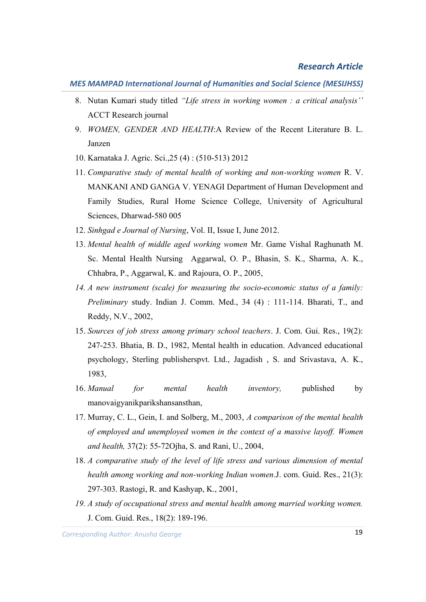- 8. Nutan Kumari study titled *"Life stress in working women : a critical analysis''* ACCT Research journal
- 9. *WOMEN, GENDER AND HEALTH*:A Review of the Recent Literature B. L. Janzen
- 10. Karnataka J. Agric. Sci.,25 (4) : (510-513) 2012
- 11. *Comparative study of mental health of working and non-working women* R. V. MANKANI AND GANGA V. YENAGI Department of Human Development and Family Studies, Rural Home Science College, University of Agricultural Sciences, Dharwad-580 005
- 12. *Sinhgad e Journal of Nursing*, Vol. II, Issue I, June 2012.
- 13. *Mental health of middle aged working women* Mr. Game Vishal Raghunath M. Sc. Mental Health Nursing Aggarwal, O. P., Bhasin, S. K., Sharma, A. K., Chhabra, P., Aggarwal, K. and Rajoura, O. P., 2005,
- *14. A new instrument (scale) for measuring the socio-economic status of a family: Preliminary* study. Indian J. Comm. Med., 34 (4) : 111-114. Bharati, T., and Reddy, N.V., 2002,
- 15. *Sources of job stress among primary school teachers*. J. Com. Gui. Res., 19(2): 247-253. Bhatia, B. D., 1982, Mental health in education. Advanced educational psychology, Sterling publisherspvt. Ltd., Jagadish , S. and Srivastava, A. K., 1983,
- 16. *Manual for mental health inventory,* published by manovaigyanikparikshansansthan,
- 17. Murray, C. L., Gein, I. and Solberg, M., 2003, *A comparison of the mental health of employed and unemployed women in the context of a massive layoff. Women and health,* 37(2): 55-72Ojha, S. and Rani, U., 2004,
- 18. *A comparative study of the level of life stress and various dimension of mental health among working and non-working Indian women*.J. com. Guid. Res., 21(3): 297-303. Rastogi, R. and Kashyap, K., 2001,
- *19. A study of occupational stress and mental health among married working women.* J. Com. Guid. Res., 18(2): 189-196.

*Corresponding Author: Anjusha. K. P* 19 *Corresponding Author: Anusha George*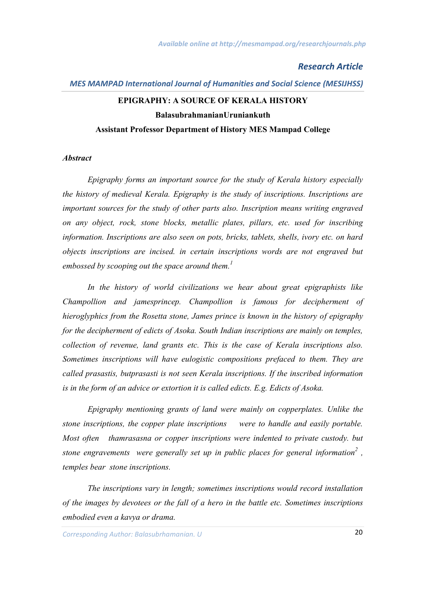#### *MES MAMPAD International Journal of Humanities and Social Science (MESIJHSS)*

# **EPIGRAPHY: A SOURCE OF KERALA HISTORY BalasubrahmanianUruniankuth Assistant Professor Department of History MES Mampad College**

#### *Abstract*

*Epigraphy forms an important source for the study of Kerala history especially the history of medieval Kerala. Epigraphy is the study of inscriptions. Inscriptions are important sources for the study of other parts also. Inscription means writing engraved on any object, rock, stone blocks, metallic plates, pillars, etc. used for inscribing information. Inscriptions are also seen on pots, bricks, tablets, shells, ivory etc. on hard objects inscriptions are incised. in certain inscriptions words are not engraved but embossed by scooping out the space around them.<sup>1</sup>*

*In the history of world civilizations we hear about great epigraphists like Champollion and jamesprincep. Champollion is famous for decipherment of hieroglyphics from the Rosetta stone, James prince is known in the history of epigraphy for the decipherment of edicts of Asoka. South Indian inscriptions are mainly on temples, collection of revenue, land grants etc. This is the case of Kerala inscriptions also. Sometimes inscriptions will have eulogistic compositions prefaced to them. They are called prasastis, butprasasti is not seen Kerala inscriptions. If the inscribed information is in the form of an advice or extortion it is called edicts. E.g. Edicts of Asoka.*

*Epigraphy mentioning grants of land were mainly on copperplates. Unlike the stone inscriptions, the copper plate inscriptions were to handle and easily portable. Most often thamrasasna or copper inscriptions were indented to private custody. but stone engravements were generally set up in public places for general information<sup>2</sup> , temples bear stone inscriptions.*

*The inscriptions vary in length; sometimes inscriptions would record installation of the images by devotees or the fall of a hero in the battle etc. Sometimes inscriptions embodied even a kavya or drama.*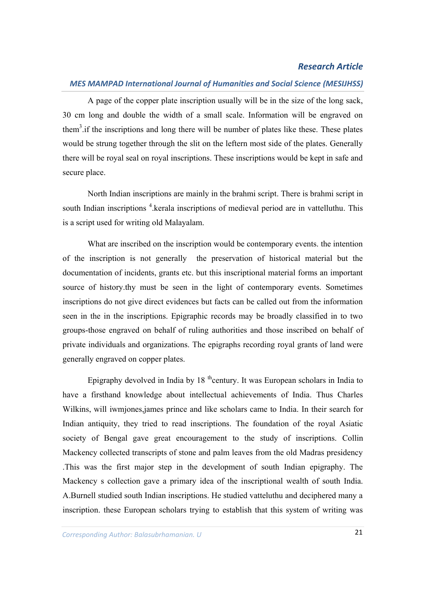## *MES MAMPAD International Journal of Humanities and Social Science (MESIJHSS)*

A page of the copper plate inscription usually will be in the size of the long sack, 30 cm long and double the width of a small scale. Information will be engraved on them<sup>3</sup> if the inscriptions and long there will be number of plates like these. These plates would be strung together through the slit on the leftern most side of the plates. Generally there will be royal seal on royal inscriptions. These inscriptions would be kept in safe and secure place.

North Indian inscriptions are mainly in the brahmi script. There is brahmi script in south Indian inscriptions <sup>4</sup> kerala inscriptions of medieval period are in vattelluthu. This is a script used for writing old Malayalam.

What are inscribed on the inscription would be contemporary events. the intention of the inscription is not generally the preservation of historical material but the documentation of incidents, grants etc. but this inscriptional material forms an important source of history.thy must be seen in the light of contemporary events. Sometimes inscriptions do not give direct evidences but facts can be called out from the information seen in the in the inscriptions. Epigraphic records may be broadly classified in to two groups-those engraved on behalf of ruling authorities and those inscribed on behalf of private individuals and organizations. The epigraphs recording royal grants of land were generally engraved on copper plates.

Epigraphy devolved in India by  $18$  <sup>th</sup>century. It was European scholars in India to have a firsthand knowledge about intellectual achievements of India. Thus Charles Wilkins, will iwmjones,james prince and like scholars came to India. In their search for Indian antiquity, they tried to read inscriptions. The foundation of the royal Asiatic society of Bengal gave great encouragement to the study of inscriptions. Collin Mackency collected transcripts of stone and palm leaves from the old Madras presidency .This was the first major step in the development of south Indian epigraphy. The Mackency s collection gave a primary idea of the inscriptional wealth of south India. A.Burnell studied south Indian inscriptions. He studied vatteluthu and deciphered many a inscription. these European scholars trying to establish that this system of writing was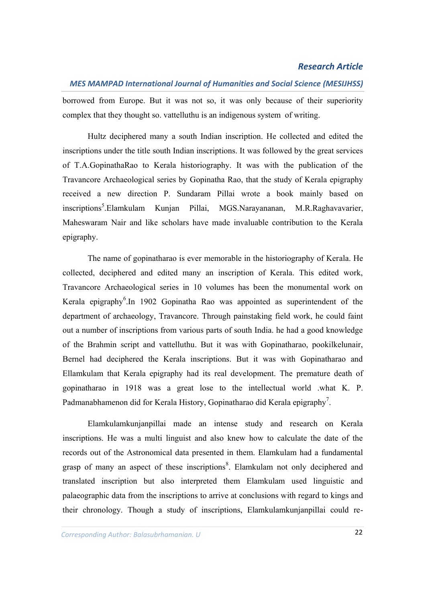## *MES MAMPAD International Journal of Humanities and Social Science (MESIJHSS)*

borrowed from Europe. But it was not so, it was only because of their superiority complex that they thought so. vattelluthu is an indigenous system of writing.

Hultz deciphered many a south Indian inscription. He collected and edited the inscriptions under the title south Indian inscriptions. It was followed by the great services of T.A.GopinathaRao to Kerala historiography. It was with the publication of the Travancore Archaeological series by Gopinatha Rao, that the study of Kerala epigraphy received a new direction P. Sundaram Pillai wrote a book mainly based on inscriptions<sup>5</sup>.Elamkulam Kunjan Pillai, MGS.Narayananan, M.R.Raghavavarier, Maheswaram Nair and like scholars have made invaluable contribution to the Kerala epigraphy.

The name of gopinatharao is ever memorable in the historiography of Kerala. He collected, deciphered and edited many an inscription of Kerala. This edited work, Travancore Archaeological series in 10 volumes has been the monumental work on Kerala epigraphy<sup>6</sup>. In 1902 Gopinatha Rao was appointed as superintendent of the department of archaeology, Travancore. Through painstaking field work, he could faint out a number of inscriptions from various parts of south India. he had a good knowledge of the Brahmin script and vattelluthu. But it was with Gopinatharao, pookilkelunair, Bernel had deciphered the Kerala inscriptions. But it was with Gopinatharao and Ellamkulam that Kerala epigraphy had its real development. The premature death of gopinatharao in 1918 was a great lose to the intellectual world .what K. P. Padmanabhamenon did for Kerala History, Gopinatharao did Kerala epigraphy<sup>7</sup>.

Elamkulamkunjanpillai made an intense study and research on Kerala inscriptions. He was a multi linguist and also knew how to calculate the date of the records out of the Astronomical data presented in them. Elamkulam had a fundamental grasp of many an aspect of these inscriptions<sup>8</sup>. Elamkulam not only deciphered and translated inscription but also interpreted them Elamkulam used linguistic and palaeographic data from the inscriptions to arrive at conclusions with regard to kings and their chronology. Though a study of inscriptions, Elamkulamkunjanpillai could re-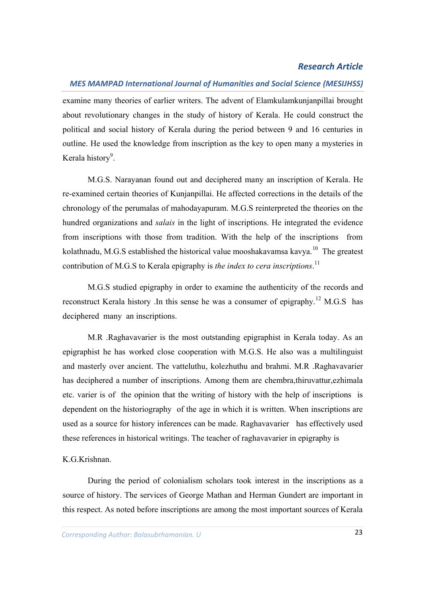#### *MES MAMPAD International Journal of Humanities and Social Science (MESIJHSS)*

examine many theories of earlier writers. The advent of Elamkulamkunjanpillai brought about revolutionary changes in the study of history of Kerala. He could construct the political and social history of Kerala during the period between 9 and 16 centuries in outline. He used the knowledge from inscription as the key to open many a mysteries in Kerala history<sup>9</sup>.

M.G.S. Narayanan found out and deciphered many an inscription of Kerala. He re-examined certain theories of Kunjanpillai. He affected corrections in the details of the chronology of the perumalas of mahodayapuram. M.G.S reinterpreted the theories on the hundred organizations and *salais* in the light of inscriptions. He integrated the evidence from inscriptions with those from tradition. With the help of the inscriptions from kolathnadu, M.G.S established the historical value mooshakavamsa kavya.<sup>10</sup> The greatest contribution of M.G.S to Kerala epigraphy is *the index to cera inscriptions*. 11

M.G.S studied epigraphy in order to examine the authenticity of the records and reconstruct Kerala history .In this sense he was a consumer of epigraphy.<sup>12</sup> M.G.S has deciphered many an inscriptions.

M.R .Raghavavarier is the most outstanding epigraphist in Kerala today. As an epigraphist he has worked close cooperation with M.G.S. He also was a multilinguist and masterly over ancient. The vatteluthu, kolezhuthu and brahmi. M.R .Raghavavarier has deciphered a number of inscriptions. Among them are chembra,thiruvattur,ezhimala etc. varier is of the opinion that the writing of history with the help of inscriptions is dependent on the historiography of the age in which it is written. When inscriptions are used as a source for history inferences can be made. Raghavavarier has effectively used these references in historical writings. The teacher of raghavavarier in epigraphy is

#### K.G.Krishnan.

During the period of colonialism scholars took interest in the inscriptions as a source of history. The services of George Mathan and Herman Gundert are important in this respect. As noted before inscriptions are among the most important sources of Kerala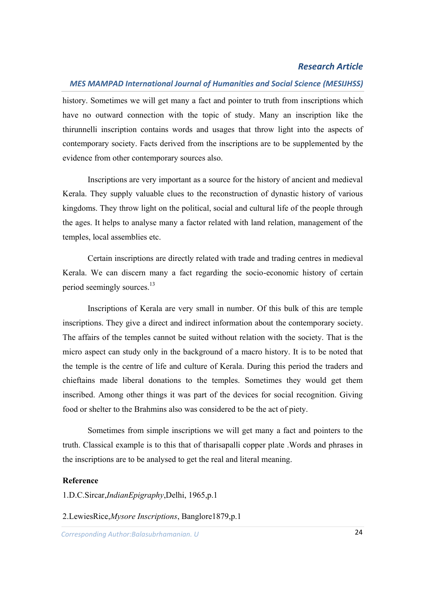#### *MES MAMPAD International Journal of Humanities and Social Science (MESIJHSS)*

history. Sometimes we will get many a fact and pointer to truth from inscriptions which have no outward connection with the topic of study. Many an inscription like the thirunnelli inscription contains words and usages that throw light into the aspects of contemporary society. Facts derived from the inscriptions are to be supplemented by the evidence from other contemporary sources also.

Inscriptions are very important as a source for the history of ancient and medieval Kerala. They supply valuable clues to the reconstruction of dynastic history of various kingdoms. They throw light on the political, social and cultural life of the people through the ages. It helps to analyse many a factor related with land relation, management of the temples, local assemblies etc.

Certain inscriptions are directly related with trade and trading centres in medieval Kerala. We can discern many a fact regarding the socio-economic history of certain period seemingly sources.<sup>13</sup>

Inscriptions of Kerala are very small in number. Of this bulk of this are temple inscriptions. They give a direct and indirect information about the contemporary society. The affairs of the temples cannot be suited without relation with the society. That is the micro aspect can study only in the background of a macro history. It is to be noted that the temple is the centre of life and culture of Kerala. During this period the traders and chieftains made liberal donations to the temples. Sometimes they would get them inscribed. Among other things it was part of the devices for social recognition. Giving food or shelter to the Brahmins also was considered to be the act of piety.

Sometimes from simple inscriptions we will get many a fact and pointers to the truth. Classical example is to this that of tharisapalli copper plate .Words and phrases in the inscriptions are to be analysed to get the real and literal meaning.

#### **Reference**

1.D.C.Sircar,*IndianEpigraphy*,Delhi, 1965,p.1

2.LewiesRice,*Mysore Inscriptions*, Banglore1879,p.1

*Corresponding Author: Anjusha. K. P* 24 *Corresponding Author:Balasubrhamanian. U*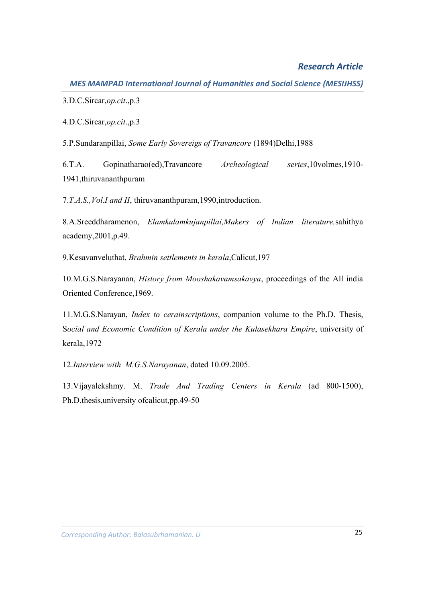*MES MAMPAD International Journal of Humanities and Social Science (MESIJHSS)*

3.D.C.Sircar,*op.cit*.,p.3

4.D.C.Sircar,*op.cit*.,p.3

5.P.Sundaranpillai, *Some Early Sovereigs of Travancore* (1894)Delhi,1988

6.T.A. Gopinatharao(ed),Travancore *Archeological series*,10volmes,1910- 1941,thiruvananthpuram

7.*T.A.S.,Vol.I and II*, thiruvananthpuram,1990,introduction.

8.A.Sreeddharamenon, *Elamkulamkujanpillai,Makers of Indian literature,*sahithya academy,2001,p.49.

9.Kesavanveluthat, *Brahmin settlements in kerala*,Calicut,197

10.M.G.S.Narayanan, *History from Mooshakavamsakavya*, proceedings of the All india Oriented Conference,1969.

11.M.G.S.Narayan, *Index to cerainscriptions*, companion volume to the Ph.D. Thesis, S*ocial and Economic Condition of Kerala under the Kulasekhara Empire*, university of kerala,1972

12.*Interview with M.G.S.Narayanan*, dated 10.09.2005.

13.Vijayalekshmy. M. *Trade And Trading Centers in Kerala* (ad 800-1500), Ph.D.thesis,university ofcalicut,pp.49-50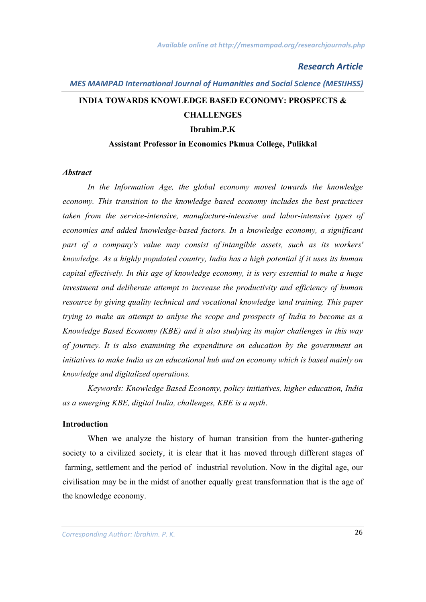# *MES MAMPAD International Journal of Humanities and Social Science (MESIJHSS)* **INDIA TOWARDS KNOWLEDGE BASED ECONOMY: PROSPECTS & CHALLENGES Ibrahim.P.K**

## **Assistant Professor in Economics Pkmua College, Pulikkal**

#### *Abstract*

*In the Information Age, the global economy moved towards the knowledge economy. This transition to the knowledge based economy includes the best practices taken from the service-intensive, manufacture-intensive and labor-intensive types of economies and added knowledge-based factors. In a knowledge economy, a significant part of a company's value may consist of intangible assets, such as its workers' knowledge. As a highly populated country, India has a high potential if it uses its human capital effectively. In this age of knowledge economy, it is very essential to make a huge investment and deliberate attempt to increase the productivity and efficiency of human resource by giving quality technical and vocational knowledge \and training. This paper trying to make an attempt to anlyse the scope and prospects of India to become as a Knowledge Based Economy (KBE) and it also studying its major challenges in this way of journey. It is also examining the expenditure on education by the government an initiatives to make India as an educational hub and an economy which is based mainly on knowledge and digitalized operations.* 

*Keywords: Knowledge Based Economy, policy initiatives, higher education, India as a emerging KBE, digital India, challenges, KBE is a myth*.

#### **Introduction**

When we analyze the history of human transition from the hunter-gathering society to a civilized society, it is clear that it has moved through different stages of farming, settlement and the period of industrial revolution. Now in the digital age, our civilisation may be in the midst of another equally great transformation that is the age of the knowledge economy.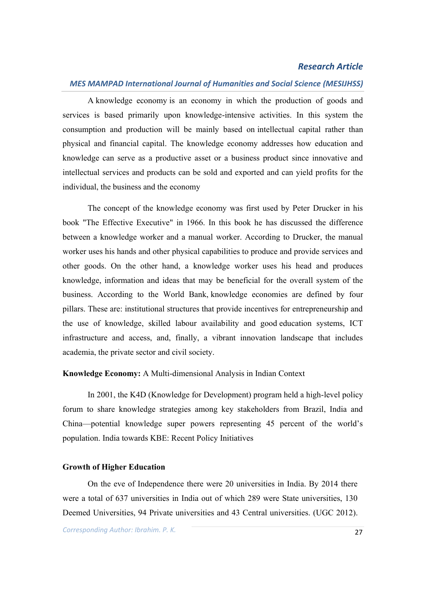#### *MES MAMPAD International Journal of Humanities and Social Science (MESIJHSS)*

A knowledge economy is an economy in which the production of goods and services is based primarily upon knowledge-intensive activities. In this system the consumption and production will be mainly based on intellectual capital rather than physical and financial capital. The knowledge economy addresses how education and knowledge can serve as a productive asset or a business product since innovative and intellectual services and products can be sold and exported and can yield profits for the individual, the business and the economy

The concept of the knowledge economy was first used by Peter Drucker in his book "The Effective Executive" in 1966. In this book he has discussed the difference between a knowledge worker and a manual worker. According to Drucker, the manual worker uses his hands and other physical capabilities to produce and provide services and other goods. On the other hand, a knowledge worker uses his head and produces knowledge, information and ideas that may be beneficial for the overall system of the business. According to the World Bank, knowledge economies are defined by four pillars. These are: institutional structures that provide incentives for entrepreneurship and the use of knowledge, skilled labour availability and good education systems, ICT infrastructure and access, and, finally, a vibrant innovation landscape that includes academia, the private sector and civil society.

#### **Knowledge Economy:** A Multi-dimensional Analysis in Indian Context

In 2001, the K4D (Knowledge for Development) program held a high-level policy forum to share knowledge strategies among key stakeholders from Brazil, India and China—potential knowledge super powers representing 45 percent of the world's population. India towards KBE: Recent Policy Initiatives

#### **Growth of Higher Education**

On the eve of Independence there were 20 universities in India. By 2014 there were a total of 637 universities in India out of which 289 were State universities, 130 Deemed Universities, 94 Private universities and 43 Central universities. (UGC 2012).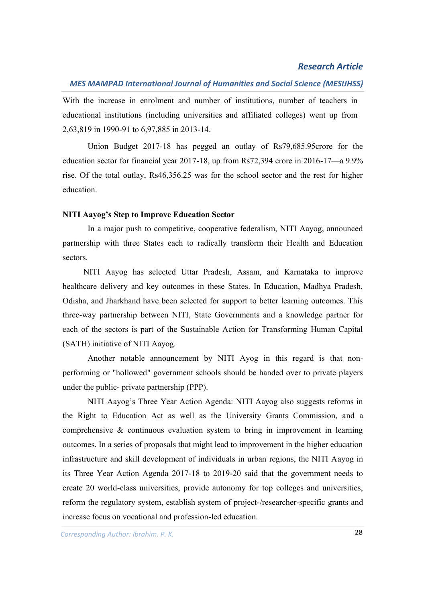## *MES MAMPAD International Journal of Humanities and Social Science (MESIJHSS)*

With the increase in enrolment and number of institutions, number of teachers in educational institutions (including universities and affiliated colleges) went up from 2,63,819 in 1990-91 to 6,97,885 in 2013-14.

Union Budget 2017-18 has pegged an outlay of Rs79,685.95crore for the education sector for financial year 2017-18, up from Rs72,394 crore in 2016-17—a 9.9% rise. Of the total outlay, Rs46,356.25 was for the school sector and the rest for higher education.

#### **NITI Aayog's Step to Improve Education Sector**

In a major push to competitive, cooperative federalism, NITI Aayog, announced partnership with three States each to radically transform their Health and Education sectors.

 NITI Aayog has selected Uttar Pradesh, Assam, and Karnataka to improve healthcare delivery and key outcomes in these States. In Education, Madhya Pradesh, Odisha, and Jharkhand have been selected for support to better learning outcomes. This three-way partnership between NITI, State Governments and a knowledge partner for each of the sectors is part of the Sustainable Action for Transforming Human Capital (SATH) initiative of NITI Aayog.

Another notable announcement by NITI Ayog in this regard is that nonperforming or "hollowed" government schools should be handed over to private players under the public- private partnership (PPP).

NITI Aayog's Three Year Action Agenda: NITI Aayog also suggests reforms in the Right to Education Act as well as the University Grants Commission, and a comprehensive & continuous evaluation system to bring in improvement in learning outcomes. In a series of proposals that might lead to improvement in the higher education infrastructure and skill development of individuals in urban regions, the NITI Aayog in its Three Year Action Agenda 2017-18 to 2019-20 said that the government needs to create 20 world-class universities, provide autonomy for top colleges and universities, reform the regulatory system, establish system of project-/researcher-specific grants and increase focus on vocational and profession-led education.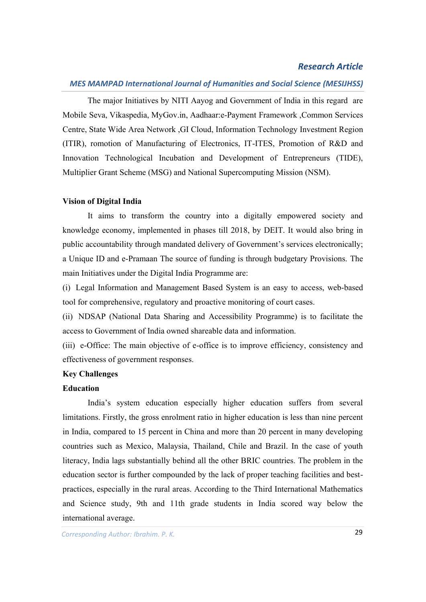#### *MES MAMPAD International Journal of Humanities and Social Science (MESIJHSS)*

The major Initiatives by NITI Aayog and Government of India in this regard are Mobile Seva, Vikaspedia, MyGov.in, Aadhaar:e-Payment Framework ,Common Services Centre, State Wide Area Network ,GI Cloud, Information Technology Investment Region (ITIR), romotion of Manufacturing of Electronics, IT-ITES, Promotion of R&D and Innovation Technological Incubation and Development of Entrepreneurs (TIDE), Multiplier Grant Scheme (MSG) and National Supercomputing Mission (NSM).

#### **Vision of Digital India**

It aims to transform the country into a digitally empowered society and knowledge economy, implemented in phases till 2018, by DEIT. It would also bring in public accountability through mandated delivery of Government's services electronically; a Unique ID and e-Pramaan The source of funding is through budgetary Provisions. The main Initiatives under the Digital India Programme are:

(i) Legal Information and Management Based System is an easy to access, web-based tool for comprehensive, regulatory and proactive monitoring of court cases.

(ii) NDSAP (National Data Sharing and Accessibility Programme) is to facilitate the access to Government of India owned shareable data and information.

(iii) e-Office: The main objective of e-office is to improve efficiency, consistency and effectiveness of government responses.

#### **Key Challenges**

## **Education**

India's system education especially higher education suffers from several limitations. Firstly, the gross enrolment ratio in higher education is less than nine percent in India, compared to 15 percent in China and more than 20 percent in many developing countries such as Mexico, Malaysia, Thailand, Chile and Brazil. In the case of youth literacy, India lags substantially behind all the other BRIC countries. The problem in the education sector is further compounded by the lack of proper teaching facilities and bestpractices, especially in the rural areas. According to the Third International Mathematics and Science study, 9th and 11th grade students in India scored way below the international average.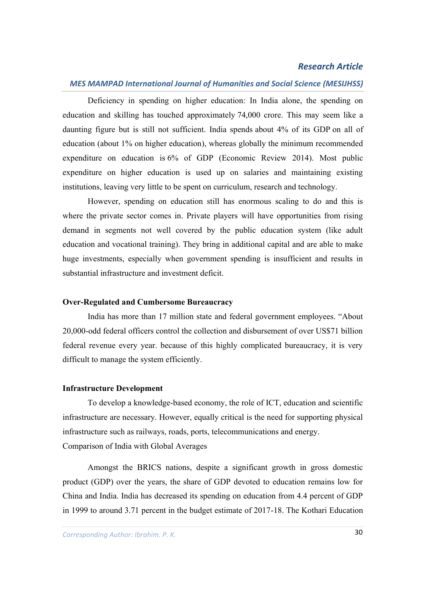## *MES MAMPAD International Journal of Humanities and Social Science (MESIJHSS)*

Deficiency in spending on higher education: In India alone, the spending on education and skilling has touched approximately 74,000 crore. This may seem like a daunting figure but is still not sufficient. India spends about 4% of its GDP on all of education (about 1% on higher education), whereas globally the minimum recommended expenditure on education is 6% of GDP (Economic Review 2014). Most public expenditure on higher education is used up on salaries and maintaining existing institutions, leaving very little to be spent on curriculum, research and technology.

However, spending on education still has enormous scaling to do and this is where the private sector comes in. Private players will have opportunities from rising demand in segments not well covered by the public education system (like adult education and vocational training). They bring in additional capital and are able to make huge investments, especially when government spending is insufficient and results in substantial infrastructure and investment deficit.

#### **Over-Regulated and Cumbersome Bureaucracy**

India has more than 17 million state and federal government employees. "About 20,000-odd federal officers control the collection and disbursement of over US\$71 billion federal revenue every year. because of this highly complicated bureaucracy, it is very difficult to manage the system efficiently.

#### **Infrastructure Development**

To develop a knowledge-based economy, the role of ICT, education and scientific infrastructure are necessary. However, equally critical is the need for supporting physical infrastructure such as railways, roads, ports, telecommunications and energy. Comparison of India with Global Averages

Amongst the BRICS nations, despite a significant growth in gross domestic product (GDP) over the years, the share of GDP devoted to education remains low for China and India. India has decreased its spending on education from 4.4 percent of GDP in 1999 to around 3.71 percent in the budget estimate of 2017-18. The Kothari Education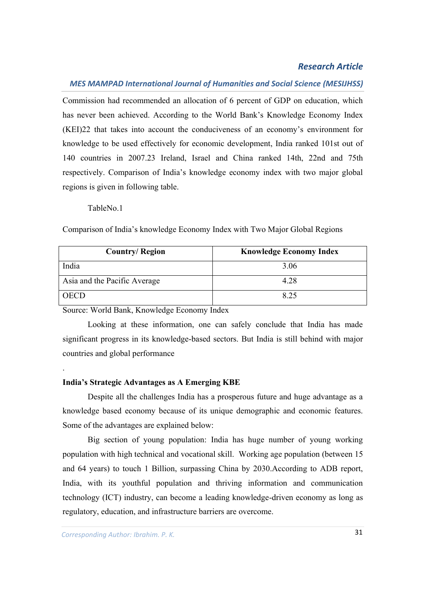#### *MES MAMPAD International Journal of Humanities and Social Science (MESIJHSS)*

Commission had recommended an allocation of 6 percent of GDP on education, which has never been achieved. According to the World Bank's Knowledge Economy Index (KEI)22 that takes into account the conduciveness of an economy's environment for knowledge to be used effectively for economic development, India ranked 101st out of 140 countries in 2007.23 Ireland, Israel and China ranked 14th, 22nd and 75th respectively. Comparison of India's knowledge economy index with two major global regions is given in following table.

TableNo.1

.

Comparison of India's knowledge Economy Index with Two Major Global Regions

| <b>Country/Region</b>        | <b>Knowledge Economy Index</b> |
|------------------------------|--------------------------------|
| India                        | 3.06                           |
| Asia and the Pacific Average | 4.28                           |
| )ECD                         | 8.25                           |

Source: World Bank, Knowledge Economy Index

Looking at these information, one can safely conclude that India has made significant progress in its knowledge-based sectors. But India is still behind with major countries and global performance

#### **India's Strategic Advantages as A Emerging KBE**

Despite all the challenges India has a prosperous future and huge advantage as a knowledge based economy because of its unique demographic and economic features. Some of the advantages are explained below:

Big section of young population: India has huge number of young working population with high technical and vocational skill. Working age population (between 15 and 64 years) to touch 1 Billion, surpassing China by 2030.According to ADB report, India, with its youthful population and thriving information and communication technology (ICT) industry, can become a leading knowledge-driven economy as long as regulatory, education, and infrastructure barriers are overcome.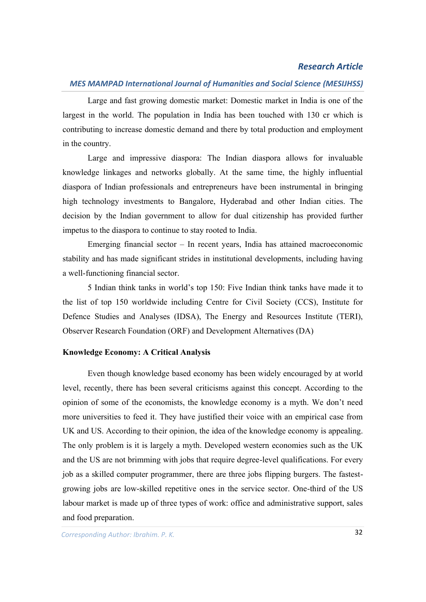#### *MES MAMPAD International Journal of Humanities and Social Science (MESIJHSS)*

Large and fast growing domestic market: Domestic market in India is one of the largest in the world. The population in India has been touched with 130 cr which is contributing to increase domestic demand and there by total production and employment in the country.

Large and impressive diaspora: The Indian diaspora allows for invaluable knowledge linkages and networks globally. At the same time, the highly influential diaspora of Indian professionals and entrepreneurs have been instrumental in bringing high technology investments to Bangalore, Hyderabad and other Indian cities. The decision by the Indian government to allow for dual citizenship has provided further impetus to the diaspora to continue to stay rooted to India.

Emerging financial sector – In recent years, India has attained macroeconomic stability and has made significant strides in institutional developments, including having a well-functioning financial sector.

5 Indian think tanks in world's top 150: Five Indian think tanks have made it to the list of top 150 worldwide including Centre for Civil Society (CCS), Institute for Defence Studies and Analyses (IDSA), The Energy and Resources Institute (TERI), Observer Research Foundation (ORF) and Development Alternatives (DA)

#### **Knowledge Economy: A Critical Analysis**

Even though knowledge based economy has been widely encouraged by at world level, recently, there has been several criticisms against this concept. According to the opinion of some of the economists, the knowledge economy is a myth. We don't need more universities to feed it. They have justified their voice with an empirical case from UK and US. According to their opinion, the idea of the knowledge economy is appealing. The only problem is it is largely a myth. Developed western economies such as the UK and the US are not brimming with jobs that require degree-level qualifications. For every job as a skilled computer programmer, there are three jobs flipping burgers. The fastestgrowing jobs are low-skilled repetitive ones in the service sector. One-third of the US labour market is made up of three types of work: office and administrative support, sales and food preparation.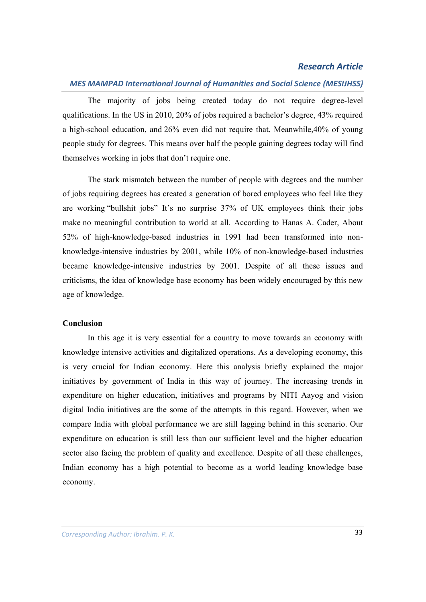## *MES MAMPAD International Journal of Humanities and Social Science (MESIJHSS)*

The majority of jobs being created today do not require degree-level qualifications. In the US in 2010, 20% of jobs required a bachelor's degree, 43% required a high-school education, and 26% even did not require that. Meanwhile,40% of young people study for degrees. This means over half the people gaining degrees today will find themselves working in jobs that don't require one.

The stark mismatch between the number of people with degrees and the number of jobs requiring degrees has created a generation of bored employees who feel like they are working "bullshit jobs" It's no surprise 37% of UK employees think their jobs make no meaningful contribution to world at all. According to Hanas A. Cader, About 52% of high-knowledge-based industries in 1991 had been transformed into nonknowledge-intensive industries by 2001, while 10% of non-knowledge-based industries became knowledge-intensive industries by 2001. Despite of all these issues and criticisms, the idea of knowledge base economy has been widely encouraged by this new age of knowledge.

#### **Conclusion**

In this age it is very essential for a country to move towards an economy with knowledge intensive activities and digitalized operations. As a developing economy, this is very crucial for Indian economy. Here this analysis briefly explained the major initiatives by government of India in this way of journey. The increasing trends in expenditure on higher education, initiatives and programs by NITI Aayog and vision digital India initiatives are the some of the attempts in this regard. However, when we compare India with global performance we are still lagging behind in this scenario. Our expenditure on education is still less than our sufficient level and the higher education sector also facing the problem of quality and excellence. Despite of all these challenges, Indian economy has a high potential to become as a world leading knowledge base economy.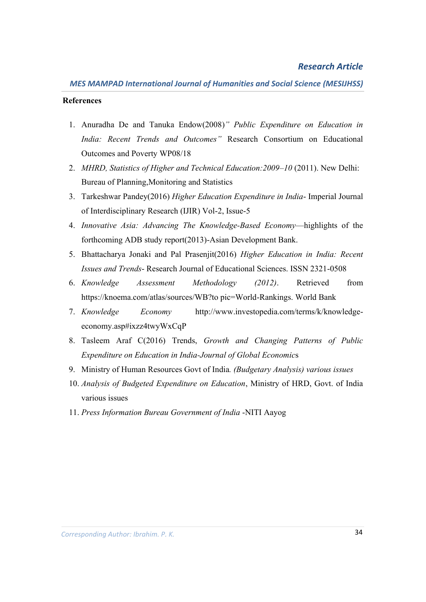#### **References**

- 1. Anuradha De and Tanuka Endow(2008)*" Public Expenditure on Education in India: Recent Trends and Outcomes"* Research Consortium on Educational Outcomes and Poverty WP08/18
- 2. *MHRD, Statistics of Higher and Technical Education:2009–10* (2011). New Delhi: Bureau of Planning,Monitoring and Statistics
- 3. Tarkeshwar Pandey(2016) *Higher Education Expenditure in India* Imperial Journal of Interdisciplinary Research (IJIR) Vol-2, Issue-5
- 4. *Innovative Asia: Advancing The Knowledge-Based Economy*—highlights of the forthcoming ADB study report(2013)-Asian Development Bank.
- 5. Bhattacharya Jonaki and Pal Prasenjit(2016) *Higher Education in India: Recent Issues and Trends*- Research Journal of Educational Sciences. ISSN 2321-0508
- 6. *Knowledge Assessment Methodology (2012)*. Retrieved from https://knoema.com/atlas/sources/WB?to pic=World-Rankings. World Bank
- 7. *Knowledge Economy* http://www.investopedia.com/terms/k/knowledgeeconomy.asp#ixzz4twyWxCqP
- 8. Tasleem Araf C(2016) Trends, *Growth and Changing Patterns of Public Expenditure on Education in India-Journal of Global Economic*s
- 9. Ministry of Human Resources Govt of India*. (Budgetary Analysis) various issues*
- 10. *Analysis of Budgeted Expenditure on Education*, Ministry of HRD, Govt. of India various issues
- 11. *Press Information Bureau Government of India* -NITI Aayog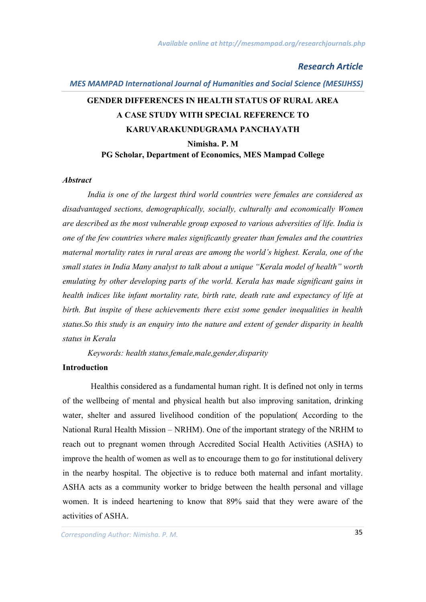## *MES MAMPAD International Journal of Humanities and Social Science (MESIJHSS)*

# **GENDER DIFFERENCES IN HEALTH STATUS OF RURAL AREA A CASE STUDY WITH SPECIAL REFERENCE TO KARUVARAKUNDUGRAMA PANCHAYATH Nimisha. P. M PG Scholar, Department of Economics, MES Mampad College**

#### *Abstract*

*India is one of the largest third world countries were females are considered as disadvantaged sections, demographically, socially, culturally and economically Women are described as the most vulnerable group exposed to various adversities of life. India is one of the few countries where males significantly greater than females and the countries maternal mortality rates in rural areas are among the world's highest. Kerala, one of the small states in India Many analyst to talk about a unique "Kerala model of health" worth emulating by other developing parts of the world. Kerala has made significant gains in health indices like infant mortality rate, birth rate, death rate and expectancy of life at birth. But inspite of these achievements there exist some gender inequalities in health status.So this study is an enquiry into the nature and extent of gender disparity in health status in Kerala*

*Keywords: health status,female,male,gender,disparity*

#### **Introduction**

Healthis considered as a fundamental human right. It is defined not only in terms of the wellbeing of mental and physical health but also improving sanitation, drinking water, shelter and assured livelihood condition of the population( According to the National Rural Health Mission – NRHM). One of the important strategy of the NRHM to reach out to pregnant women through Accredited Social Health Activities (ASHA) to improve the health of women as well as to encourage them to go for institutional delivery in the nearby hospital. The objective is to reduce both maternal and infant mortality. ASHA acts as a community worker to bridge between the health personal and village women. It is indeed heartening to know that 89% said that they were aware of the activities of ASHA.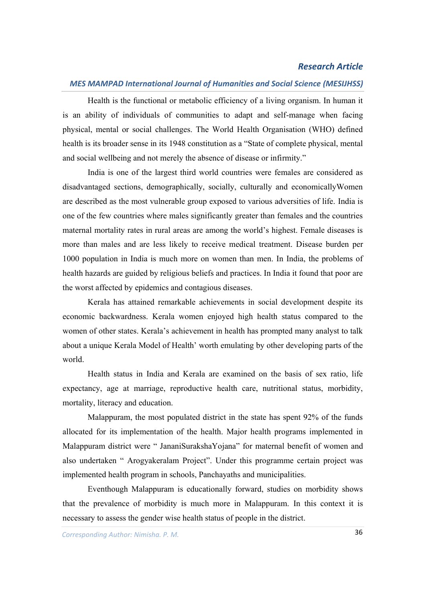#### *MES MAMPAD International Journal of Humanities and Social Science (MESIJHSS)*

Health is the functional or metabolic efficiency of a living organism. In human it is an ability of individuals of communities to adapt and self-manage when facing physical, mental or social challenges. The World Health Organisation (WHO) defined health is its broader sense in its 1948 constitution as a "State of complete physical, mental and social wellbeing and not merely the absence of disease or infirmity."

India is one of the largest third world countries were females are considered as disadvantaged sections, demographically, socially, culturally and economicallyWomen are described as the most vulnerable group exposed to various adversities of life. India is one of the few countries where males significantly greater than females and the countries maternal mortality rates in rural areas are among the world's highest. Female diseases is more than males and are less likely to receive medical treatment. Disease burden per 1000 population in India is much more on women than men. In India, the problems of health hazards are guided by religious beliefs and practices. In India it found that poor are the worst affected by epidemics and contagious diseases.

Kerala has attained remarkable achievements in social development despite its economic backwardness. Kerala women enjoyed high health status compared to the women of other states. Kerala's achievement in health has prompted many analyst to talk about a unique Kerala Model of Health' worth emulating by other developing parts of the world.

Health status in India and Kerala are examined on the basis of sex ratio, life expectancy, age at marriage, reproductive health care, nutritional status, morbidity, mortality, literacy and education.

Malappuram, the most populated district in the state has spent 92% of the funds allocated for its implementation of the health. Major health programs implemented in Malappuram district were " JananiSurakshaYojana" for maternal benefit of women and also undertaken " Arogyakeralam Project". Under this programme certain project was implemented health program in schools, Panchayaths and municipalities.

Eventhough Malappuram is educationally forward, studies on morbidity shows that the prevalence of morbidity is much more in Malappuram. In this context it is necessary to assess the gender wise health status of people in the district.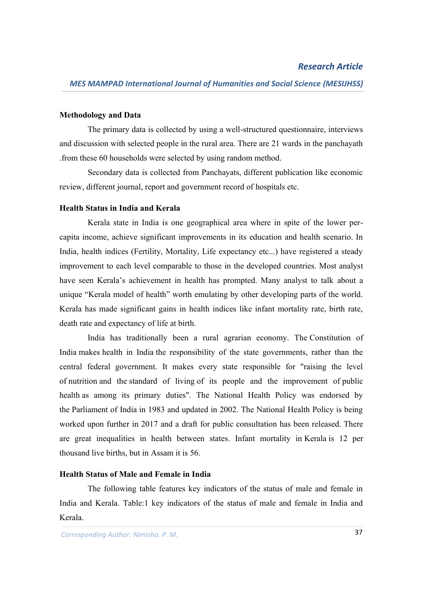#### **Methodology and Data**

The primary data is collected by using a well-structured questionnaire, interviews and discussion with selected people in the rural area. There are 21 wards in the panchayath .from these 60 households were selected by using random method.

Secondary data is collected from Panchayats, different publication like economic review, different journal, report and government record of hospitals etc.

#### **Health Status in India and Kerala**

Kerala state in India is one geographical area where in spite of the lower percapita income, achieve significant improvements in its education and health scenario. In India, health indices (Fertility, Mortality, Life expectancy etc...) have registered a steady improvement to each level comparable to those in the developed countries. Most analyst have seen Kerala's achievement in health has prompted. Many analyst to talk about a unique "Kerala model of health" worth emulating by other developing parts of the world. Kerala has made significant gains in health indices like infant mortality rate, birth rate, death rate and expectancy of life at birth.

India has traditionally been a rural agrarian economy. The Constitution of India makes health in India the responsibility of the state governments, rather than the central federal government. It makes every state responsible for "raising the level of nutrition and the standard of living of its people and the improvement of public health as among its primary duties". The National Health Policy was endorsed by the Parliament of India in 1983 and updated in 2002. The National Health Policy is being worked upon further in 2017 and a draft for public consultation has been released. There are great inequalities in health between states. Infant mortality in Kerala is 12 per thousand live births, but in Assam it is 56.

## **Health Status of Male and Female in India**

The following table features key indicators of the status of male and female in India and Kerala. Table:1 key indicators of the status of male and female in India and Kerala.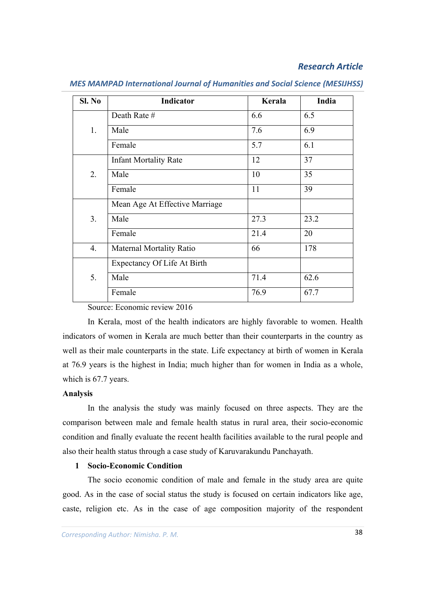| SI. No | Indicator                      | Kerala | India |
|--------|--------------------------------|--------|-------|
|        | Death Rate #                   | 6.6    | 6.5   |
| 1.     | Male                           | 7.6    | 6.9   |
|        | Female                         | 5.7    | 6.1   |
|        | <b>Infant Mortality Rate</b>   | 12     | 37    |
| 2.     | Male                           | 10     | 35    |
|        | Female                         | 11     | 39    |
|        | Mean Age At Effective Marriage |        |       |
| 3.     | Male                           | 27.3   | 23.2  |
|        | Female                         | 21.4   | 20    |
| 4.     | Maternal Mortality Ratio       | 66     | 178   |
|        | Expectancy Of Life At Birth    |        |       |
| 5.     | Male                           | 71.4   | 62.6  |
|        | Female                         | 76.9   | 67.7  |

*MES MAMPAD International Journal of Humanities and Social Science (MESIJHSS)*

Source: Economic review 2016

In Kerala, most of the health indicators are highly favorable to women. Health indicators of women in Kerala are much better than their counterparts in the country as well as their male counterparts in the state. Life expectancy at birth of women in Kerala at 76.9 years is the highest in India; much higher than for women in India as a whole, which is 67.7 years.

#### **Analysis**

In the analysis the study was mainly focused on three aspects. They are the comparison between male and female health status in rural area, their socio-economic condition and finally evaluate the recent health facilities available to the rural people and also their health status through a case study of Karuvarakundu Panchayath.

## **1 Socio-Economic Condition**

The socio economic condition of male and female in the study area are quite good. As in the case of social status the study is focused on certain indicators like age, caste, religion etc. As in the case of age composition majority of the respondent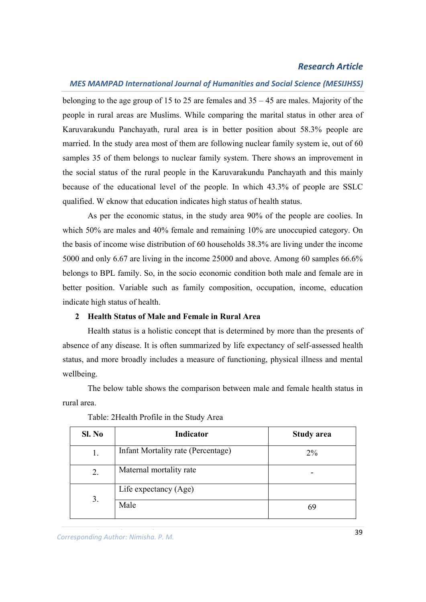#### *MES MAMPAD International Journal of Humanities and Social Science (MESIJHSS)*

belonging to the age group of 15 to 25 are females and 35 – 45 are males. Majority of the people in rural areas are Muslims. While comparing the marital status in other area of Karuvarakundu Panchayath, rural area is in better position about 58.3% people are married. In the study area most of them are following nuclear family system ie, out of 60 samples 35 of them belongs to nuclear family system. There shows an improvement in the social status of the rural people in the Karuvarakundu Panchayath and this mainly because of the educational level of the people. In which 43.3% of people are SSLC qualified. W eknow that education indicates high status of health status.

As per the economic status, in the study area 90% of the people are coolies. In which 50% are males and 40% female and remaining 10% are unoccupied category. On the basis of income wise distribution of 60 households 38.3% are living under the income 5000 and only 6.67 are living in the income 25000 and above. Among 60 samples 66.6% belongs to BPL family. So, in the socio economic condition both male and female are in better position. Variable such as family composition, occupation, income, education indicate high status of health.

## **2 Health Status of Male and Female in Rural Area**

Health status is a holistic concept that is determined by more than the presents of absence of any disease. It is often summarized by life expectancy of self-assessed health status, and more broadly includes a measure of functioning, physical illness and mental wellbeing.

The below table shows the comparison between male and female health status in rural area.

| Sl. No | Indicator                          | <b>Study area</b> |
|--------|------------------------------------|-------------------|
| 1.     | Infant Mortality rate (Percentage) | $2\%$             |
| 2.     | Maternal mortality rate            |                   |
| 3.     | Life expectancy (Age)              |                   |
|        | Male                               |                   |

Table: 2Health Profile in the Study Area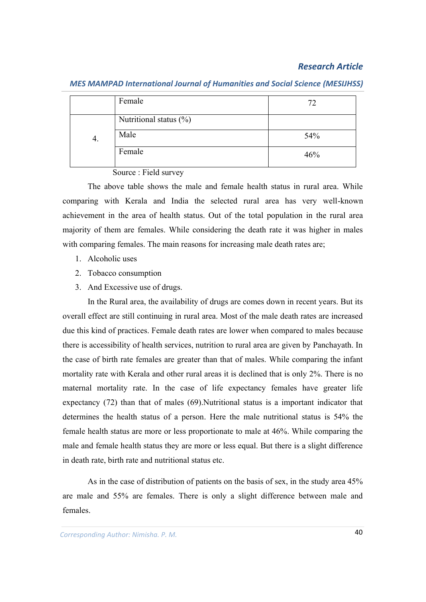|    | Female                 | 72  |
|----|------------------------|-----|
|    | Nutritional status (%) |     |
| 4. | Male                   | 54% |
|    | Female                 | 46% |

*MES MAMPAD International Journal of Humanities and Social Science (MESIJHSS)*

Source : Field survey

The above table shows the male and female health status in rural area. While comparing with Kerala and India the selected rural area has very well-known achievement in the area of health status. Out of the total population in the rural area majority of them are females. While considering the death rate it was higher in males with comparing females. The main reasons for increasing male death rates are;

- 1. Alcoholic uses
- 2. Tobacco consumption
- 3. And Excessive use of drugs.

In the Rural area, the availability of drugs are comes down in recent years. But its overall effect are still continuing in rural area. Most of the male death rates are increased due this kind of practices. Female death rates are lower when compared to males because there is accessibility of health services, nutrition to rural area are given by Panchayath. In the case of birth rate females are greater than that of males. While comparing the infant mortality rate with Kerala and other rural areas it is declined that is only 2%. There is no maternal mortality rate. In the case of life expectancy females have greater life expectancy (72) than that of males (69).Nutritional status is a important indicator that determines the health status of a person. Here the male nutritional status is 54% the female health status are more or less proportionate to male at 46%. While comparing the male and female health status they are more or less equal. But there is a slight difference in death rate, birth rate and nutritional status etc.

As in the case of distribution of patients on the basis of sex, in the study area 45% are male and 55% are females. There is only a slight difference between male and females.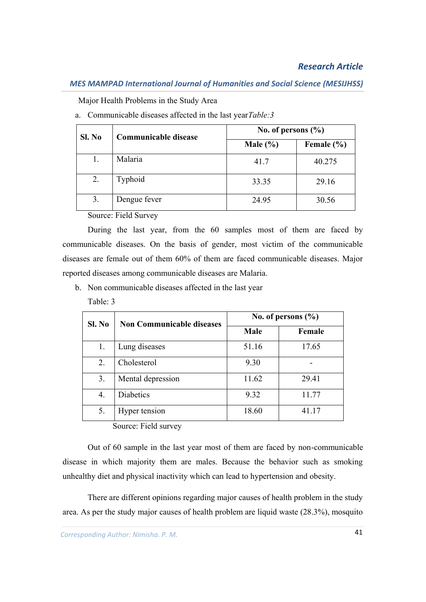## *MES MAMPAD International Journal of Humanities and Social Science (MESIJHSS)*

Major Health Problems in the Study Area

| Sl. No | Communicable disease | No. of persons $(\% )$ |                |
|--------|----------------------|------------------------|----------------|
|        |                      | Male $(\% )$           | Female $(\% )$ |
| 1.     | Malaria              | 41.7                   | 40.275         |
| 2.     | Typhoid              | 33.35                  | 29.16          |
| 3.     | Dengue fever         | 24.95                  | 30.56          |

a. Communicable diseases affected in the last year*Table:3*

Source: Field Survey

During the last year, from the 60 samples most of them are faced by communicable diseases. On the basis of gender, most victim of the communicable diseases are female out of them 60% of them are faced communicable diseases. Major reported diseases among communicable diseases are Malaria.

b. Non communicable diseases affected in the last year

Table: 3

| Sl. No | <b>Non Communicable diseases</b> | No. of persons $(\% )$ |        |
|--------|----------------------------------|------------------------|--------|
|        |                                  | Male                   | Female |
| 1.     | Lung diseases                    | 51.16                  | 17.65  |
| 2.     | Cholesterol                      | 9.30                   |        |
| 3.     | Mental depression                | 11.62                  | 29.41  |
| 4.     | <b>Diabetics</b>                 | 9.32                   | 11.77  |
| 5.     | Hyper tension                    | 18.60                  | 41.17  |

Source: Field survey

Out of 60 sample in the last year most of them are faced by non-communicable disease in which majority them are males. Because the behavior such as smoking unhealthy diet and physical inactivity which can lead to hypertension and obesity.

There are different opinions regarding major causes of health problem in the study area. As per the study major causes of health problem are liquid waste (28.3%), mosquito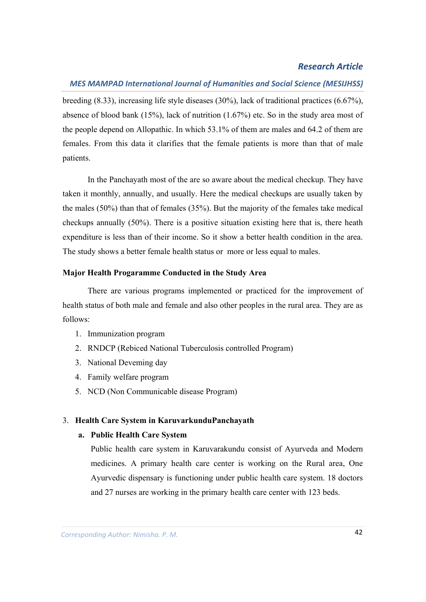#### *MES MAMPAD International Journal of Humanities and Social Science (MESIJHSS)*

breeding (8.33), increasing life style diseases (30%), lack of traditional practices (6.67%), absence of blood bank (15%), lack of nutrition (1.67%) etc. So in the study area most of the people depend on Allopathic. In which 53.1% of them are males and 64.2 of them are females. From this data it clarifies that the female patients is more than that of male patients.

In the Panchayath most of the are so aware about the medical checkup. They have taken it monthly, annually, and usually. Here the medical checkups are usually taken by the males (50%) than that of females (35%). But the majority of the females take medical checkups annually (50%). There is a positive situation existing here that is, there heath expenditure is less than of their income. So it show a better health condition in the area. The study shows a better female health status or more or less equal to males.

#### **Major Health Progaramme Conducted in the Study Area**

There are various programs implemented or practiced for the improvement of health status of both male and female and also other peoples in the rural area. They are as follows:

- 1. Immunization program
- 2. RNDCP (Rebiced National Tuberculosis controlled Program)
- 3. National Deveming day
- 4. Family welfare program
- 5. NCD (Non Communicable disease Program)

## 3. **Health Care System in KaruvarkunduPanchayath**

### **a. Public Health Care System**

Public health care system in Karuvarakundu consist of Ayurveda and Modern medicines. A primary health care center is working on the Rural area, One Ayurvedic dispensary is functioning under public health care system. 18 doctors and 27 nurses are working in the primary health care center with 123 beds.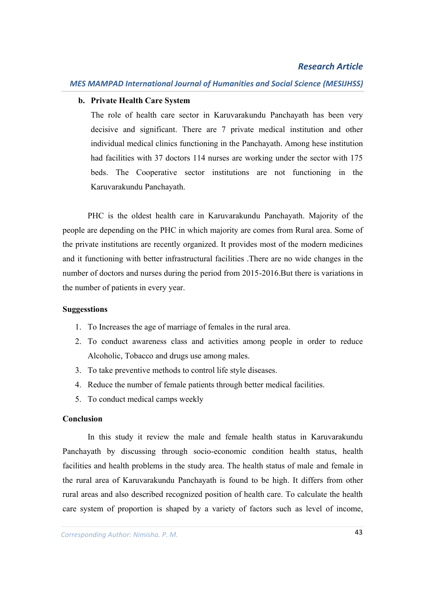## **b. Private Health Care System**

The role of health care sector in Karuvarakundu Panchayath has been very decisive and significant. There are 7 private medical institution and other individual medical clinics functioning in the Panchayath. Among hese institution had facilities with 37 doctors 114 nurses are working under the sector with 175 beds. The Cooperative sector institutions are not functioning in the Karuvarakundu Panchayath.

PHC is the oldest health care in Karuvarakundu Panchayath. Majority of the people are depending on the PHC in which majority are comes from Rural area. Some of the private institutions are recently organized. It provides most of the modern medicines and it functioning with better infrastructural facilities .There are no wide changes in the number of doctors and nurses during the period from 2015-2016.But there is variations in the number of patients in every year.

#### **Suggesstions**

- 1. To Increases the age of marriage of females in the rural area.
- 2. To conduct awareness class and activities among people in order to reduce Alcoholic, Tobacco and drugs use among males.
- 3. To take preventive methods to control life style diseases.
- 4. Reduce the number of female patients through better medical facilities.
- 5. To conduct medical camps weekly

#### **Conclusion**

In this study it review the male and female health status in Karuvarakundu Panchayath by discussing through socio-economic condition health status, health facilities and health problems in the study area. The health status of male and female in the rural area of Karuvarakundu Panchayath is found to be high. It differs from other rural areas and also described recognized position of health care. To calculate the health care system of proportion is shaped by a variety of factors such as level of income,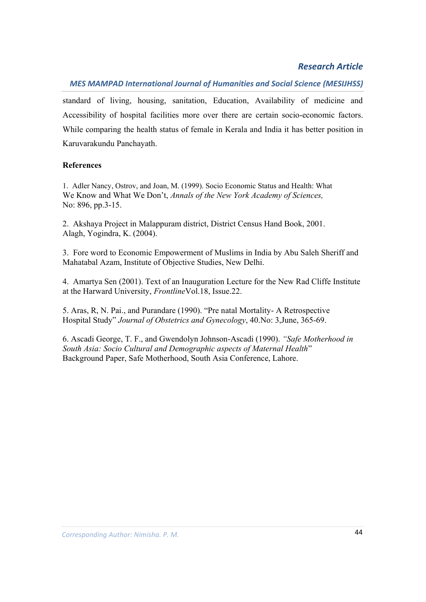## *MES MAMPAD International Journal of Humanities and Social Science (MESIJHSS)*

standard of living, housing, sanitation, Education, Availability of medicine and Accessibility of hospital facilities more over there are certain socio-economic factors. While comparing the health status of female in Kerala and India it has better position in Karuvarakundu Panchayath.

## **References**

1. Adler Nancy, Ostrov, and Joan, M. (1999). Socio Economic Status and Health: What We Know and What We Don't, *Annals of the New York Academy of Sciences,* No: 896, pp.3-15.

2. Akshaya Project in Malappuram district, District Census Hand Book, 2001. Alagh, Yogindra, K. (2004).

3. Fore word to Economic Empowerment of Muslims in India by Abu Saleh Sheriff and Mahatabal Azam, Institute of Objective Studies, New Delhi.

4. Amartya Sen (2001). Text of an Inauguration Lecture for the New Rad Cliffe Institute at the Harward University, *Frontline*Vol.18, Issue.22.

5. Aras, R, N. Pai., and Purandare (1990). "Pre natal Mortality- A Retrospective Hospital Study" *Journal of Obstetrics and Gynecology*, 40.No: 3,June, 365-69.

6. Ascadi George, T. F., and Gwendolyn Johnson-Ascadi (1990). *"Safe Motherhood in South Asia: Socio Cultural and Demographic aspects of Maternal Health*" Background Paper, Safe Motherhood, South Asia Conference, Lahore.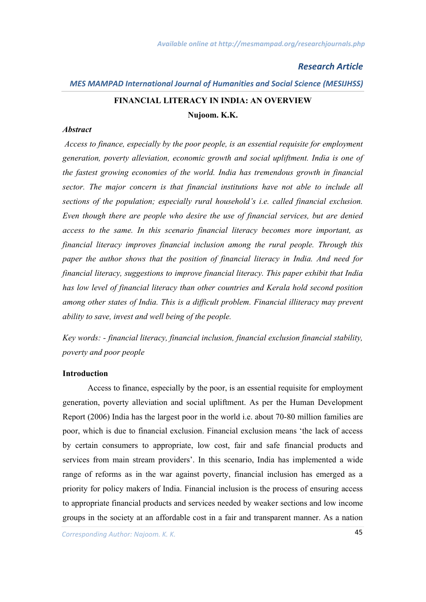# *MES MAMPAD International Journal of Humanities and Social Science (MESIJHSS)* **FINANCIAL LITERACY IN INDIA: AN OVERVIEW Nujoom. K.K.**

#### *Abstract*

*Access to finance, especially by the poor people, is an essential requisite for employment generation, poverty alleviation, economic growth and social upliftment. India is one of the fastest growing economies of the world. India has tremendous growth in financial sector. The major concern is that financial institutions have not able to include all sections of the population; especially rural household's i.e. called financial exclusion. Even though there are people who desire the use of financial services, but are denied access to the same. In this scenario financial literacy becomes more important, as financial literacy improves financial inclusion among the rural people. Through this paper the author shows that the position of financial literacy in India. And need for financial literacy, suggestions to improve financial literacy. This paper exhibit that India has low level of financial literacy than other countries and Kerala hold second position among other states of India. This is a difficult problem. Financial illiteracy may prevent ability to save, invest and well being of the people.*

*Key words: - financial literacy, financial inclusion, financial exclusion financial stability, poverty and poor people*

#### **Introduction**

Access to finance, especially by the poor, is an essential requisite for employment generation, poverty alleviation and social upliftment. As per the Human Development Report (2006) India has the largest poor in the world i.e. about 70-80 million families are poor, which is due to financial exclusion. Financial exclusion means 'the lack of access by certain consumers to appropriate, low cost, fair and safe financial products and services from main stream providers'. In this scenario, India has implemented a wide range of reforms as in the war against poverty, financial inclusion has emerged as a priority for policy makers of India. Financial inclusion is the process of ensuring access to appropriate financial products and services needed by weaker sections and low income groups in the society at an affordable cost in a fair and transparent manner. As a nation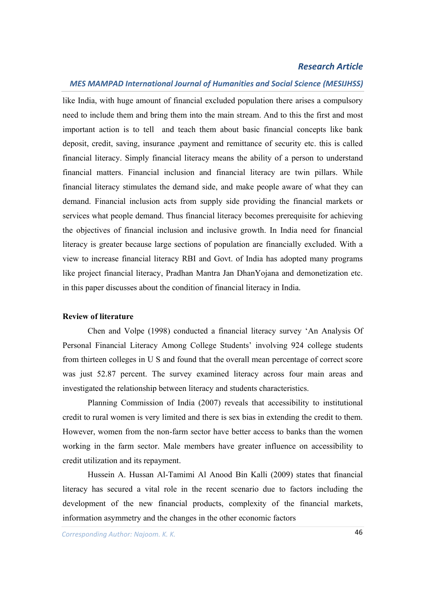#### *MES MAMPAD International Journal of Humanities and Social Science (MESIJHSS)*

like India, with huge amount of financial excluded population there arises a compulsory need to include them and bring them into the main stream. And to this the first and most important action is to tell and teach them about basic financial concepts like bank deposit, credit, saving, insurance ,payment and remittance of security etc. this is called financial literacy. Simply financial literacy means the ability of a person to understand financial matters. Financial inclusion and financial literacy are twin pillars. While financial literacy stimulates the demand side, and make people aware of what they can demand. Financial inclusion acts from supply side providing the financial markets or services what people demand. Thus financial literacy becomes prerequisite for achieving the objectives of financial inclusion and inclusive growth. In India need for financial literacy is greater because large sections of population are financially excluded. With a view to increase financial literacy RBI and Govt. of India has adopted many programs like project financial literacy, Pradhan Mantra Jan DhanYojana and demonetization etc. in this paper discusses about the condition of financial literacy in India.

#### **Review of literature**

Chen and Volpe (1998) conducted a financial literacy survey 'An Analysis Of Personal Financial Literacy Among College Students' involving 924 college students from thirteen colleges in U S and found that the overall mean percentage of correct score was just 52.87 percent. The survey examined literacy across four main areas and investigated the relationship between literacy and students characteristics.

Planning Commission of India (2007) reveals that accessibility to institutional credit to rural women is very limited and there is sex bias in extending the credit to them. However, women from the non-farm sector have better access to banks than the women working in the farm sector. Male members have greater influence on accessibility to credit utilization and its repayment.

Hussein A. Hussan Al-Tamimi Al Anood Bin Kalli (2009) states that financial literacy has secured a vital role in the recent scenario due to factors including the development of the new financial products, complexity of the financial markets, information asymmetry and the changes in the other economic factors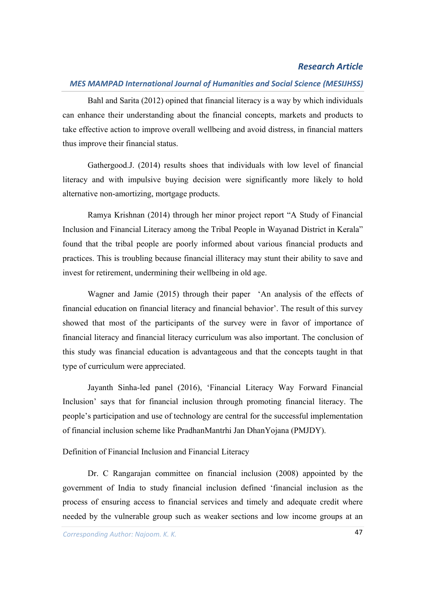## *MES MAMPAD International Journal of Humanities and Social Science (MESIJHSS)*

Bahl and Sarita (2012) opined that financial literacy is a way by which individuals can enhance their understanding about the financial concepts, markets and products to take effective action to improve overall wellbeing and avoid distress, in financial matters thus improve their financial status.

Gathergood.J. (2014) results shoes that individuals with low level of financial literacy and with impulsive buying decision were significantly more likely to hold alternative non-amortizing, mortgage products.

Ramya Krishnan (2014) through her minor project report "A Study of Financial Inclusion and Financial Literacy among the Tribal People in Wayanad District in Kerala" found that the tribal people are poorly informed about various financial products and practices. This is troubling because financial illiteracy may stunt their ability to save and invest for retirement, undermining their wellbeing in old age.

Wagner and Jamie (2015) through their paper 'An analysis of the effects of financial education on financial literacy and financial behavior'. The result of this survey showed that most of the participants of the survey were in favor of importance of financial literacy and financial literacy curriculum was also important. The conclusion of this study was financial education is advantageous and that the concepts taught in that type of curriculum were appreciated.

Jayanth Sinha-led panel (2016), 'Financial Literacy Way Forward Financial Inclusion' says that for financial inclusion through promoting financial literacy. The people's participation and use of technology are central for the successful implementation of financial inclusion scheme like PradhanMantrhi Jan DhanYojana (PMJDY).

#### Definition of Financial Inclusion and Financial Literacy

Dr. C Rangarajan committee on financial inclusion (2008) appointed by the government of India to study financial inclusion defined 'financial inclusion as the process of ensuring access to financial services and timely and adequate credit where needed by the vulnerable group such as weaker sections and low income groups at an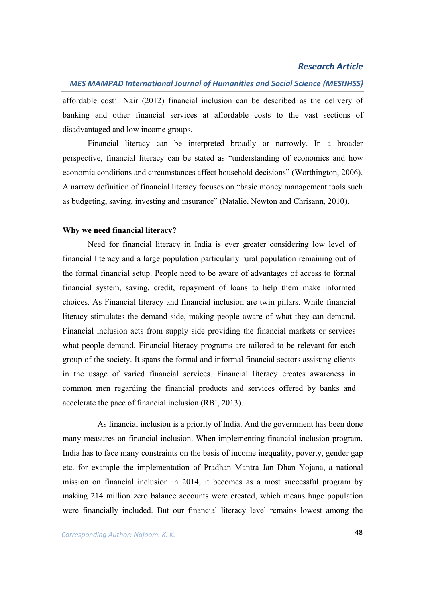## *MES MAMPAD International Journal of Humanities and Social Science (MESIJHSS)*

affordable cost'. Nair (2012) financial inclusion can be described as the delivery of banking and other financial services at affordable costs to the vast sections of disadvantaged and low income groups.

Financial literacy can be interpreted broadly or narrowly. In a broader perspective, financial literacy can be stated as "understanding of economics and how economic conditions and circumstances affect household decisions" (Worthington, 2006). A narrow definition of financial literacy focuses on "basic money management tools such as budgeting, saving, investing and insurance" (Natalie, Newton and Chrisann, 2010).

#### **Why we need financial literacy?**

Need for financial literacy in India is ever greater considering low level of financial literacy and a large population particularly rural population remaining out of the formal financial setup. People need to be aware of advantages of access to formal financial system, saving, credit, repayment of loans to help them make informed choices. As Financial literacy and financial inclusion are twin pillars. While financial literacy stimulates the demand side, making people aware of what they can demand. Financial inclusion acts from supply side providing the financial markets or services what people demand. Financial literacy programs are tailored to be relevant for each group of the society. It spans the formal and informal financial sectors assisting clients in the usage of varied financial services. Financial literacy creates awareness in common men regarding the financial products and services offered by banks and accelerate the pace of financial inclusion (RBI, 2013).

As financial inclusion is a priority of India. And the government has been done many measures on financial inclusion. When implementing financial inclusion program, India has to face many constraints on the basis of income inequality, poverty, gender gap etc. for example the implementation of Pradhan Mantra Jan Dhan Yojana, a national mission on financial inclusion in 2014, it becomes as a most successful program by making 214 million zero balance accounts were created, which means huge population were financially included. But our financial literacy level remains lowest among the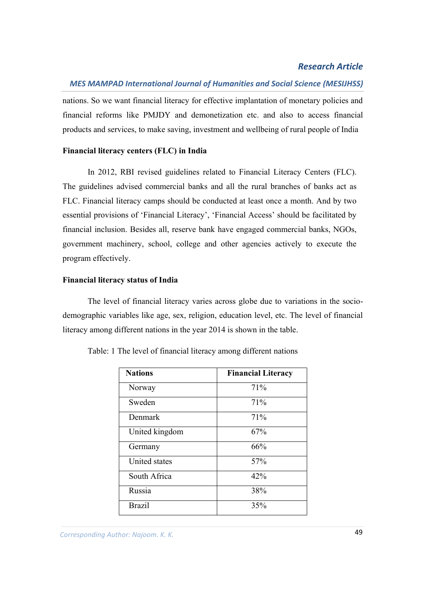## *MES MAMPAD International Journal of Humanities and Social Science (MESIJHSS)*

nations. So we want financial literacy for effective implantation of monetary policies and financial reforms like PMJDY and demonetization etc. and also to access financial products and services, to make saving, investment and wellbeing of rural people of India

#### **Financial literacy centers (FLC) in India**

In 2012, RBI revised guidelines related to Financial Literacy Centers (FLC). The guidelines advised commercial banks and all the rural branches of banks act as FLC. Financial literacy camps should be conducted at least once a month. And by two essential provisions of 'Financial Literacy', 'Financial Access' should be facilitated by financial inclusion. Besides all, reserve bank have engaged commercial banks, NGOs, government machinery, school, college and other agencies actively to execute the program effectively.

#### **Financial literacy status of India**

The level of financial literacy varies across globe due to variations in the sociodemographic variables like age, sex, religion, education level, etc. The level of financial literacy among different nations in the year 2014 is shown in the table.

| <b>Nations</b> | <b>Financial Literacy</b> |
|----------------|---------------------------|
| Norway         | 71%                       |
| Sweden         | 71%                       |
| Denmark        | 71%                       |
| United kingdom | 67%                       |
| Germany        | 66%                       |
| United states  | 57%                       |
| South Africa   | 42%                       |
| Russia         | 38%                       |
| <b>Brazil</b>  | 35%                       |

Table: 1 The level of financial literacy among different nations

*Corresponding Author: Anjusha. K. P* 49 *Corresponding Author: Najoom. K. K.*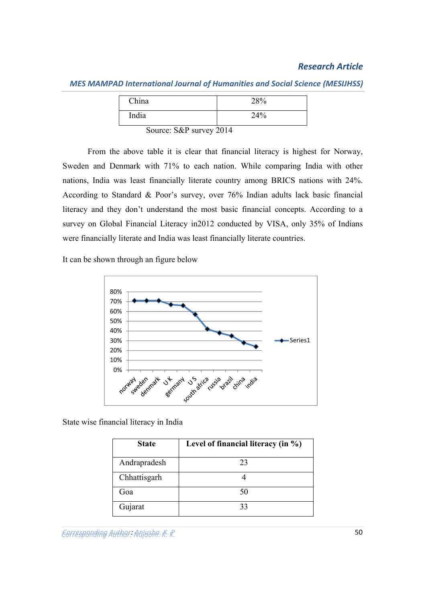| China | 28% |
|-------|-----|
| India | 24% |

*MES MAMPAD International Journal of Humanities and Social Science (MESIJHSS)*

Source: S&P survey 2014

From the above table it is clear that financial literacy is highest for Norway, Sweden and Denmark with 71% to each nation. While comparing India with other nations, India was least financially literate country among BRICS nations with 24%. According to Standard & Poor's survey, over 76% Indian adults lack basic financial literacy and they don't understand the most basic financial concepts. According to a survey on Global Financial Literacy in2012 conducted by VISA, only 35% of Indians were financially literate and India was least financially literate countries.

It can be shown through an figure below



State wise financial literacy in India

| <b>State</b> | Level of financial literacy (in %) |
|--------------|------------------------------------|
| Andrapradesh | 23                                 |
| Chhattisgarh |                                    |
| Goa          | 50                                 |
| Gujarat      | 33                                 |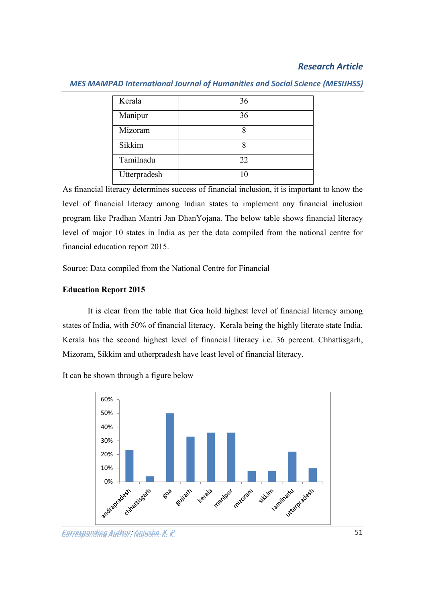| Kerala       | 36 |
|--------------|----|
| Manipur      | 36 |
| Mizoram      |    |
| Sikkim       |    |
| Tamilnadu    | 22 |
| Utterpradesh | 10 |

#### *MES MAMPAD International Journal of Humanities and Social Science (MESIJHSS)*

As financial literacy determines success of financial inclusion, it is important to know the level of financial literacy among Indian states to implement any financial inclusion program like Pradhan Mantri Jan DhanYojana. The below table shows financial literacy level of major 10 states in India as per the data compiled from the national centre for financial education report 2015.

Source: Data compiled from the National Centre for Financial

## **Education Report 2015**

It is clear from the table that Goa hold highest level of financial literacy among states of India, with 50% of financial literacy. Kerala being the highly literate state India, Kerala has the second highest level of financial literacy i.e. 36 percent. Chhattisgarh, Mizoram, Sikkim and utherpradesh have least level of financial literacy.

It can be shown through a figure below



*Corresponding Author: Anjusha. K. P* 51 *Corresponding Author: Najoom. K. K.*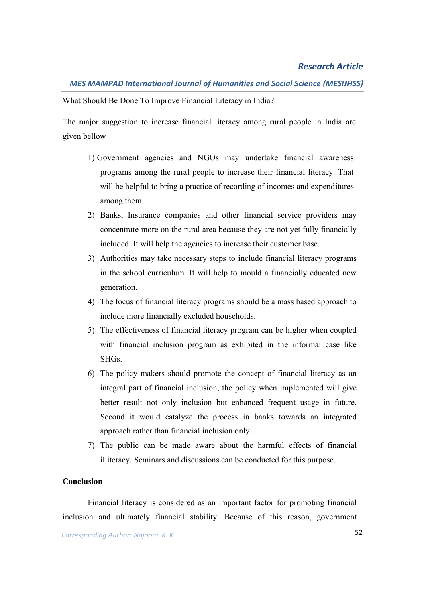## *MES MAMPAD International Journal of Humanities and Social Science (MESIJHSS)*

What Should Be Done To Improve Financial Literacy in India?

The major suggestion to increase financial literacy among rural people in India are given bellow

- 1) Government agencies and NGOs may undertake financial awareness programs among the rural people to increase their financial literacy. That will be helpful to bring a practice of recording of incomes and expenditures among them.
- 2) Banks, Insurance companies and other financial service providers may concentrate more on the rural area because they are not yet fully financially included. It will help the agencies to increase their customer base.
- 3) Authorities may take necessary steps to include financial literacy programs in the school curriculum. It will help to mould a financially educated new generation.
- 4) The focus of financial literacy programs should be a mass based approach to include more financially excluded households.
- 5) The effectiveness of financial literacy program can be higher when coupled with financial inclusion program as exhibited in the informal case like SHGs.
- 6) The policy makers should promote the concept of financial literacy as an integral part of financial inclusion, the policy when implemented will give better result not only inclusion but enhanced frequent usage in future. Second it would catalyze the process in banks towards an integrated approach rather than financial inclusion only.
- 7) The public can be made aware about the harmful effects of financial illiteracy. Seminars and discussions can be conducted for this purpose.

## **Conclusion**

Financial literacy is considered as an important factor for promoting financial inclusion and ultimately financial stability. Because of this reason, government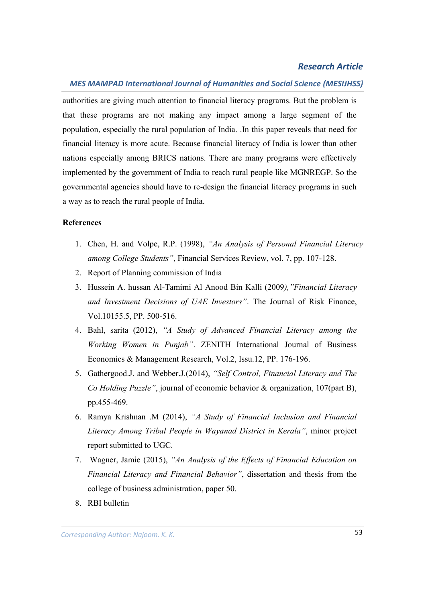#### *MES MAMPAD International Journal of Humanities and Social Science (MESIJHSS)*

authorities are giving much attention to financial literacy programs. But the problem is that these programs are not making any impact among a large segment of the population, especially the rural population of India. .In this paper reveals that need for financial literacy is more acute. Because financial literacy of India is lower than other nations especially among BRICS nations. There are many programs were effectively implemented by the government of India to reach rural people like MGNREGP. So the governmental agencies should have to re-design the financial literacy programs in such a way as to reach the rural people of India.

#### **References**

- 1. Chen, H. and Volpe, R.P. (1998), *"An Analysis of Personal Financial Literacy among College Students"*, Financial Services Review, vol. 7, pp. 107-128.
- 2. Report of Planning commission of India
- 3. Hussein A. hussan Al-Tamimi Al Anood Bin Kalli (2009*),"Financial Literacy and Investment Decisions of UAE Investors"*. The Journal of Risk Finance, Vol.10155.5, PP. 500-516.
- 4. Bahl, sarita (2012), *"A Study of Advanced Financial Literacy among the Working Women in Punjab"*. ZENITH International Journal of Business Economics & Management Research, Vol.2, Issu.12, PP. 176-196.
- 5. Gathergood.J. and Webber.J.(2014), *"Self Control, Financial Literacy and The Co Holding Puzzle"*, journal of economic behavior & organization, 107(part B), pp.455-469.
- 6. Ramya Krishnan .M (2014), *"A Study of Financial Inclusion and Financial Literacy Among Tribal People in Wayanad District in Kerala"*, minor project report submitted to UGC.
- 7. Wagner, Jamie (2015), *"An Analysis of the Effects of Financial Education on Financial Literacy and Financial Behavior"*, dissertation and thesis from the college of business administration, paper 50.
- 8. RBI bulletin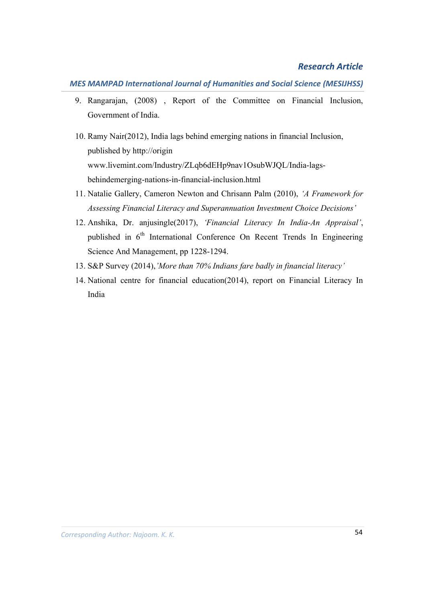## *MES MAMPAD International Journal of Humanities and Social Science (MESIJHSS)*

- 9. Rangarajan, (2008) , Report of the Committee on Financial Inclusion, Government of India.
- 10. Ramy Nair(2012), India lags behind emerging nations in financial Inclusion, published by http://origin www.livemint.com/Industry/ZLqb6dEHp9nav1OsubWJQL/India-lagsbehindemerging-nations-in-financial-inclusion.html
- 11. Natalie Gallery, Cameron Newton and Chrisann Palm (2010), *'A Framework for Assessing Financial Literacy and Superannuation Investment Choice Decisions'*
- 12. Anshika, Dr. anjusingle(2017), *'Financial Literacy In India-An Appraisal'*, published in 6<sup>th</sup> International Conference On Recent Trends In Engineering Science And Management, pp 1228-1294.
- 13. S&P Survey (2014),*'More than 70% Indians fare badly in financial literacy'*
- 14. National centre for financial education(2014), report on Financial Literacy In India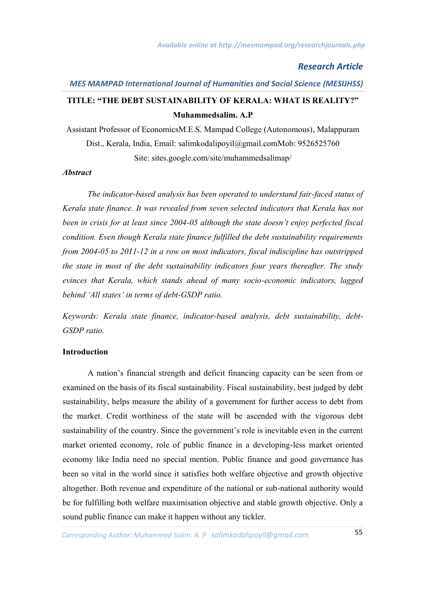# *MES MAMPAD International Journal of Humanities and Social Science (MESIJHSS)* **TITLE: "THE DEBT SUSTAINABILITY OF KERALA: WHAT IS REALITY?" Muhammedsalim. A.P**

Assistant Professor of EconomicsM.E.S. Mampad College (Autonomous), Malappuram Dist., Kerala, India, Email: salimkodalipoyil@gmail.comMob: 9526525760 Site: sites.google.com/site/muhammedsalimap/

#### *Abstract*

*The indicator-based analysis has been operated to understand fair-faced status of Kerala state finance. It was revealed from seven selected indicators that Kerala has not been in crisis for at least since 2004-05 although the state doesn't enjoy perfected fiscal condition. Even though Kerala state finance fulfilled the debt sustainability requirements from 2004-05 to 2011-12 in a row on most indicators, fiscal indiscipline has outstripped the state in most of the debt sustainability indicators four years thereafter. The study evinces that Kerala, which stands ahead of many socio-economic indicators, lagged behind 'All states' in terms of debt-GSDP ratio.*

*Keywords: Kerala state finance, indicator-based analysis, debt sustainability, debt-GSDP ratio.*

#### **Introduction**

A nation's financial strength and deficit financing capacity can be seen from or examined on the basis of its fiscal sustainability. Fiscal sustainability, best judged by debt sustainability, helps measure the ability of a government for further access to debt from the market. Credit worthiness of the state will be ascended with the vigorous debt sustainability of the country. Since the government's role is inevitable even in the current market oriented economy, role of public finance in a developing-less market oriented economy like India need no special mention. Public finance and good governance has been so vital in the world since it satisfies both welfare objective and growth objective altogether. Both revenue and expenditure of the national or sub-national authority would be for fulfilling both welfare maximisation objective and stable growth objective. Only a sound public finance can make it happen without any tickler.

*Corresponding Author: Anjusha. K. P* 55 *Corresponding Author: Muhammed Salim. A. P salimkodalipoyil@gmail.com*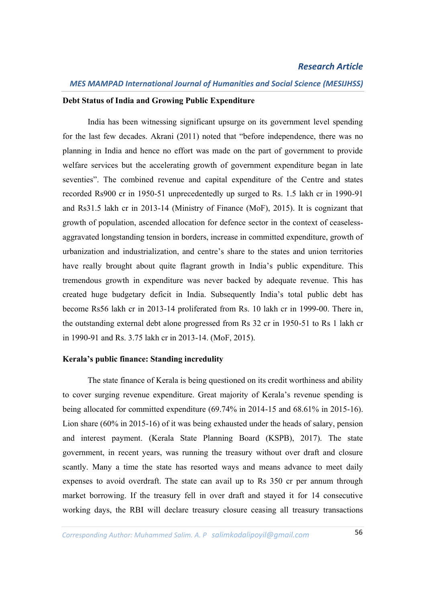## *MES MAMPAD International Journal of Humanities and Social Science (MESIJHSS)*

#### **Debt Status of India and Growing Public Expenditure**

India has been witnessing significant upsurge on its government level spending for the last few decades. Akrani (2011) noted that "before independence, there was no planning in India and hence no effort was made on the part of government to provide welfare services but the accelerating growth of government expenditure began in late seventies". The combined revenue and capital expenditure of the Centre and states recorded Rs900 cr in 1950-51 unprecedentedly up surged to Rs. 1.5 lakh cr in 1990-91 and Rs31.5 lakh cr in 2013-14 (Ministry of Finance (MoF), 2015). It is cognizant that growth of population, ascended allocation for defence sector in the context of ceaselessaggravated longstanding tension in borders, increase in committed expenditure, growth of urbanization and industrialization, and centre's share to the states and union territories have really brought about quite flagrant growth in India's public expenditure. This tremendous growth in expenditure was never backed by adequate revenue. This has created huge budgetary deficit in India. Subsequently India's total public debt has become Rs56 lakh cr in 2013-14 proliferated from Rs. 10 lakh cr in 1999-00. There in, the outstanding external debt alone progressed from Rs 32 cr in 1950-51 to Rs 1 lakh cr in 1990-91 and Rs. 3.75 lakh cr in 2013-14. (MoF, 2015).

#### **Kerala's public finance: Standing incredulity**

The state finance of Kerala is being questioned on its credit worthiness and ability to cover surging revenue expenditure. Great majority of Kerala's revenue spending is being allocated for committed expenditure (69.74% in 2014-15 and 68.61% in 2015-16). Lion share (60% in 2015-16) of it was being exhausted under the heads of salary, pension and interest payment. (Kerala State Planning Board (KSPB), 2017). The state government, in recent years, was running the treasury without over draft and closure scantly. Many a time the state has resorted ways and means advance to meet daily expenses to avoid overdraft. The state can avail up to Rs 350 cr per annum through market borrowing. If the treasury fell in over draft and stayed it for 14 consecutive working days, the RBI will declare treasury closure ceasing all treasury transactions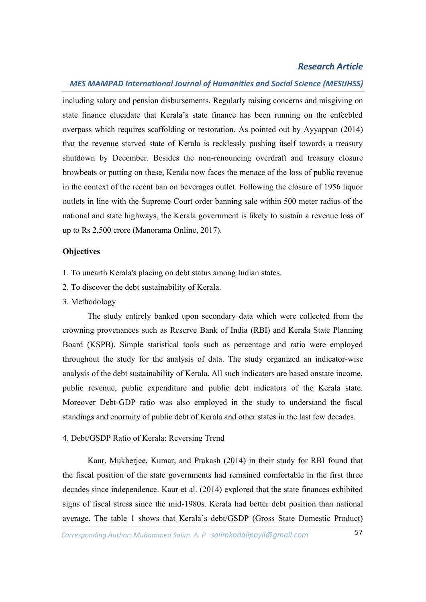#### *MES MAMPAD International Journal of Humanities and Social Science (MESIJHSS)*

including salary and pension disbursements. Regularly raising concerns and misgiving on state finance elucidate that Kerala's state finance has been running on the enfeebled overpass which requires scaffolding or restoration. As pointed out by Ayyappan (2014) that the revenue starved state of Kerala is recklessly pushing itself towards a treasury shutdown by December. Besides the non-renouncing overdraft and treasury closure browbeats or putting on these, Kerala now faces the menace of the loss of public revenue in the context of the recent ban on beverages outlet. Following the closure of 1956 liquor outlets in line with the Supreme Court order banning sale within 500 meter radius of the national and state highways, the Kerala government is likely to sustain a revenue loss of up to Rs 2,500 crore (Manorama Online, 2017).

#### **Objectives**

- 1. To unearth Kerala's placing on debt status among Indian states.
- 2. To discover the debt sustainability of Kerala.
- 3. Methodology

The study entirely banked upon secondary data which were collected from the crowning provenances such as Reserve Bank of India (RBI) and Kerala State Planning Board (KSPB). Simple statistical tools such as percentage and ratio were employed throughout the study for the analysis of data. The study organized an indicator-wise analysis of the debt sustainability of Kerala. All such indicators are based onstate income, public revenue, public expenditure and public debt indicators of the Kerala state. Moreover Debt-GDP ratio was also employed in the study to understand the fiscal standings and enormity of public debt of Kerala and other states in the last few decades.

#### 4. Debt/GSDP Ratio of Kerala: Reversing Trend

Kaur, Mukherjee, Kumar, and Prakash (2014) in their study for RBI found that the fiscal position of the state governments had remained comfortable in the first three decades since independence. Kaur et al. (2014) explored that the state finances exhibited signs of fiscal stress since the mid-1980s. Kerala had better debt position than national average. The table 1 shows that Kerala's debt/GSDP (Gross State Domestic Product)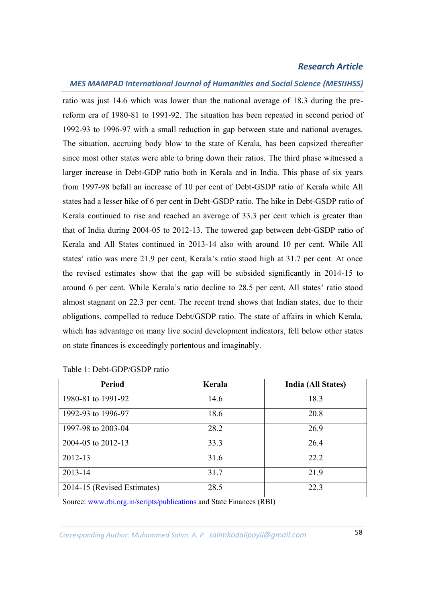#### *MES MAMPAD International Journal of Humanities and Social Science (MESIJHSS)*

ratio was just 14.6 which was lower than the national average of 18.3 during the prereform era of 1980-81 to 1991-92. The situation has been repeated in second period of 1992-93 to 1996-97 with a small reduction in gap between state and national averages. The situation, accruing body blow to the state of Kerala, has been capsized thereafter since most other states were able to bring down their ratios. The third phase witnessed a larger increase in Debt-GDP ratio both in Kerala and in India. This phase of six years from 1997-98 befall an increase of 10 per cent of Debt-GSDP ratio of Kerala while All states had a lesser hike of 6 per cent in Debt-GSDP ratio. The hike in Debt-GSDP ratio of Kerala continued to rise and reached an average of 33.3 per cent which is greater than that of India during 2004-05 to 2012-13. The towered gap between debt-GSDP ratio of Kerala and All States continued in 2013-14 also with around 10 per cent. While All states' ratio was mere 21.9 per cent, Kerala's ratio stood high at 31.7 per cent. At once the revised estimates show that the gap will be subsided significantly in 2014-15 to around 6 per cent. While Kerala's ratio decline to 28.5 per cent, All states' ratio stood almost stagnant on 22.3 per cent. The recent trend shows that Indian states, due to their obligations, compelled to reduce Debt/GSDP ratio. The state of affairs in which Kerala, which has advantage on many live social development indicators, fell below other states on state finances is exceedingly portentous and imaginably.

| <b>Period</b>               | Kerala | India (All States) |
|-----------------------------|--------|--------------------|
| 1980-81 to 1991-92          | 14.6   | 18.3               |
| 1992-93 to 1996-97          | 18.6   | 20.8               |
| 1997-98 to 2003-04          | 28.2   | 26.9               |
| 2004-05 to 2012-13          | 33.3   | 26.4               |
| 2012-13                     | 31.6   | 22.2               |
| 2013-14                     | 31.7   | 21.9               |
| 2014-15 (Revised Estimates) | 28.5   | 22.3               |

Table 1: Debt-GDP/GSDP ratio

Source: www.rbi.org.in/scripts/publications and State Finances (RBI)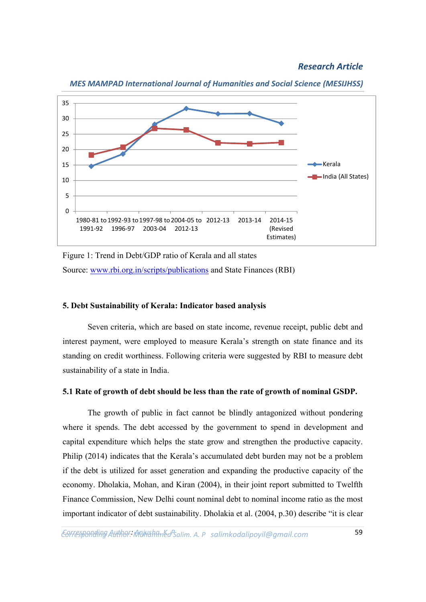

*MES MAMPAD International Journal of Humanities and Social Science (MESIJHSS)*

Figure 1: Trend in Debt/GDP ratio of Kerala and all states Source: www.rbi.org.in/scripts/publications and State Finances (RBI)

#### **5. Debt Sustainability of Kerala: Indicator based analysis**

Seven criteria, which are based on state income, revenue receipt, public debt and interest payment, were employed to measure Kerala's strength on state finance and its standing on credit worthiness. Following criteria were suggested by RBI to measure debt sustainability of a state in India.

#### **5.1 Rate of growth of debt should be less than the rate of growth of nominal GSDP.**

The growth of public in fact cannot be blindly antagonized without pondering where it spends. The debt accessed by the government to spend in development and capital expenditure which helps the state grow and strengthen the productive capacity. Philip (2014) indicates that the Kerala's accumulated debt burden may not be a problem if the debt is utilized for asset generation and expanding the productive capacity of the economy. Dholakia, Mohan, and Kiran (2004), in their joint report submitted to Twelfth Finance Commission, New Delhi count nominal debt to nominal income ratio as the most important indicator of debt sustainability. Dholakia et al. (2004, p.30) describe "it is clear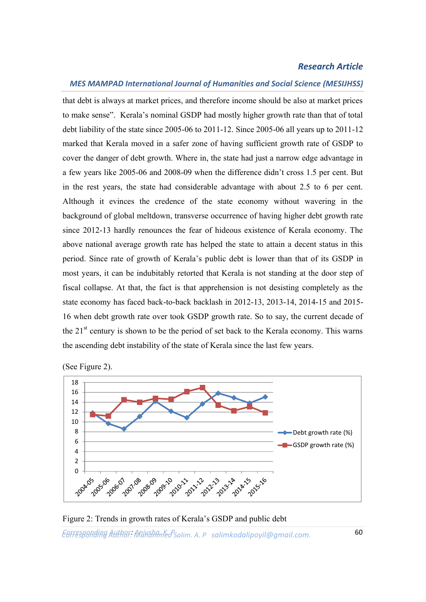#### *MES MAMPAD International Journal of Humanities and Social Science (MESIJHSS)*

that debt is always at market prices, and therefore income should be also at market prices to make sense". Kerala's nominal GSDP had mostly higher growth rate than that of total debt liability of the state since 2005-06 to 2011-12. Since 2005-06 all years up to 2011-12 marked that Kerala moved in a safer zone of having sufficient growth rate of GSDP to cover the danger of debt growth. Where in, the state had just a narrow edge advantage in a few years like 2005-06 and 2008-09 when the difference didn't cross 1.5 per cent. But in the rest years, the state had considerable advantage with about 2.5 to 6 per cent. Although it evinces the credence of the state economy without wavering in the background of global meltdown, transverse occurrence of having higher debt growth rate since 2012-13 hardly renounces the fear of hideous existence of Kerala economy. The above national average growth rate has helped the state to attain a decent status in this period. Since rate of growth of Kerala's public debt is lower than that of its GSDP in most years, it can be indubitably retorted that Kerala is not standing at the door step of fiscal collapse. At that, the fact is that apprehension is not desisting completely as the state economy has faced back-to-back backlash in 2012-13, 2013-14, 2014-15 and 2015- 16 when debt growth rate over took GSDP growth rate. So to say, the current decade of the  $21<sup>st</sup>$  century is shown to be the period of set back to the Kerala economy. This warns the ascending debt instability of the state of Kerala since the last few years.



(See Figure 2).

*Corresponding Author: Anjusha. K. P* 60 *Corresponding Author: Muhammed Salim. A. P salimkodalipoyil@gmail.com.* Figure 2: Trends in growth rates of Kerala's GSDP and public debt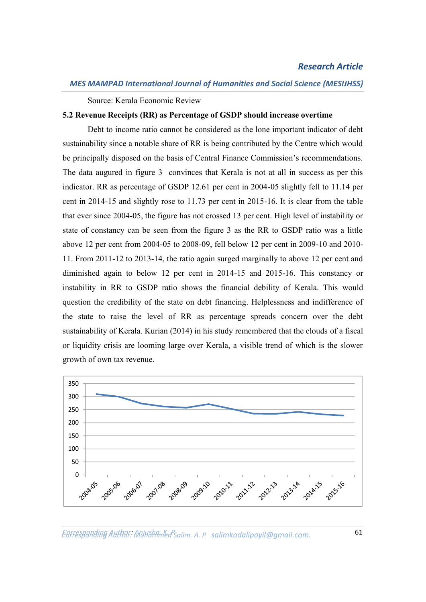Source: Kerala Economic Review

#### **5.2 Revenue Receipts (RR) as Percentage of GSDP should increase overtime**

Debt to income ratio cannot be considered as the lone important indicator of debt sustainability since a notable share of RR is being contributed by the Centre which would be principally disposed on the basis of Central Finance Commission's recommendations. The data augured in figure 3 convinces that Kerala is not at all in success as per this indicator. RR as percentage of GSDP 12.61 per cent in 2004-05 slightly fell to 11.14 per cent in 2014-15 and slightly rose to 11.73 per cent in 2015-16. It is clear from the table that ever since 2004-05, the figure has not crossed 13 per cent. High level of instability or state of constancy can be seen from the figure 3 as the RR to GSDP ratio was a little above 12 per cent from 2004-05 to 2008-09, fell below 12 per cent in 2009-10 and 2010- 11. From 2011-12 to 2013-14, the ratio again surged marginally to above 12 per cent and diminished again to below 12 per cent in 2014-15 and 2015-16. This constancy or instability in RR to GSDP ratio shows the financial debility of Kerala. This would question the credibility of the state on debt financing. Helplessness and indifference of the state to raise the level of RR as percentage spreads concern over the debt sustainability of Kerala. Kurian (2014) in his study remembered that the clouds of a fiscal or liquidity crisis are looming large over Kerala, a visible trend of which is the slower growth of own tax revenue.



*Corresponding Author: Anjusha. K. P* 61 *Corresponding Author: Muhammed Salim. A. P salimkodalipoyil@gmail.com.*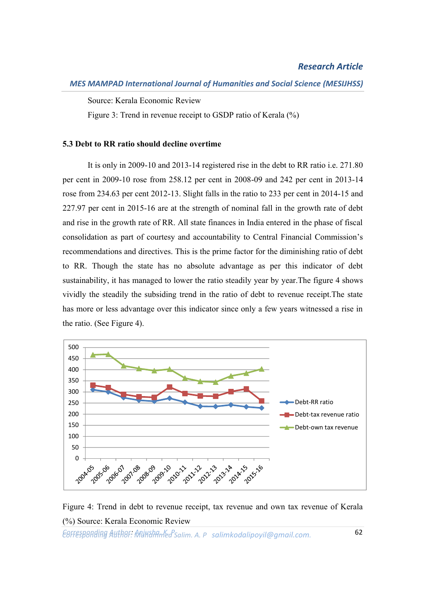Source: Kerala Economic Review

Figure 3: Trend in revenue receipt to GSDP ratio of Kerala (%)

#### **5.3 Debt to RR ratio should decline overtime**

It is only in 2009-10 and 2013-14 registered rise in the debt to RR ratio i.e. 271.80 per cent in 2009-10 rose from 258.12 per cent in 2008-09 and 242 per cent in 2013-14 rose from 234.63 per cent 2012-13. Slight falls in the ratio to 233 per cent in 2014-15 and 227.97 per cent in 2015-16 are at the strength of nominal fall in the growth rate of debt and rise in the growth rate of RR. All state finances in India entered in the phase of fiscal consolidation as part of courtesy and accountability to Central Financial Commission's recommendations and directives. This is the prime factor for the diminishing ratio of debt to RR. Though the state has no absolute advantage as per this indicator of debt sustainability, it has managed to lower the ratio steadily year by year.The figure 4 shows vividly the steadily the subsiding trend in the ratio of debt to revenue receipt.The state has more or less advantage over this indicator since only a few years witnessed a rise in the ratio. (See Figure 4).



Figure 4: Trend in debt to revenue receipt, tax revenue and own tax revenue of Kerala (%) Source: Kerala Economic Review

*Corresponding Author: Anjusha. K. P* 62 *Corresponding Author: Muhammed Salim. A. P salimkodalipoyil@gmail.com.*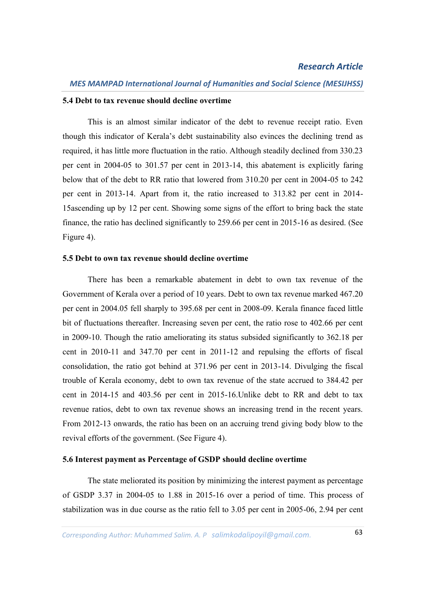#### **5.4 Debt to tax revenue should decline overtime**

This is an almost similar indicator of the debt to revenue receipt ratio. Even though this indicator of Kerala's debt sustainability also evinces the declining trend as required, it has little more fluctuation in the ratio. Although steadily declined from 330.23 per cent in 2004-05 to 301.57 per cent in 2013-14, this abatement is explicitly faring below that of the debt to RR ratio that lowered from 310.20 per cent in 2004-05 to 242 per cent in 2013-14. Apart from it, the ratio increased to 313.82 per cent in 2014- 15ascending up by 12 per cent. Showing some signs of the effort to bring back the state finance, the ratio has declined significantly to 259.66 per cent in 2015-16 as desired. (See Figure 4).

#### **5.5 Debt to own tax revenue should decline overtime**

There has been a remarkable abatement in debt to own tax revenue of the Government of Kerala over a period of 10 years. Debt to own tax revenue marked 467.20 per cent in 2004.05 fell sharply to 395.68 per cent in 2008-09. Kerala finance faced little bit of fluctuations thereafter. Increasing seven per cent, the ratio rose to 402.66 per cent in 2009-10. Though the ratio ameliorating its status subsided significantly to 362.18 per cent in 2010-11 and 347.70 per cent in 2011-12 and repulsing the efforts of fiscal consolidation, the ratio got behind at 371.96 per cent in 2013-14. Divulging the fiscal trouble of Kerala economy, debt to own tax revenue of the state accrued to 384.42 per cent in 2014-15 and 403.56 per cent in 2015-16.Unlike debt to RR and debt to tax revenue ratios, debt to own tax revenue shows an increasing trend in the recent years. From 2012-13 onwards, the ratio has been on an accruing trend giving body blow to the revival efforts of the government. (See Figure 4).

#### **5.6 Interest payment as Percentage of GSDP should decline overtime**

The state meliorated its position by minimizing the interest payment as percentage of GSDP 3.37 in 2004-05 to 1.88 in 2015-16 over a period of time. This process of stabilization was in due course as the ratio fell to 3.05 per cent in 2005-06, 2.94 per cent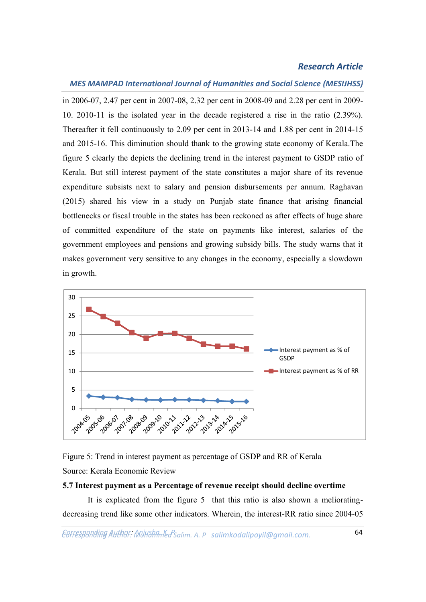## *MES MAMPAD International Journal of Humanities and Social Science (MESIJHSS)*

in 2006-07, 2.47 per cent in 2007-08, 2.32 per cent in 2008-09 and 2.28 per cent in 2009- 10. 2010-11 is the isolated year in the decade registered a rise in the ratio (2.39%). Thereafter it fell continuously to 2.09 per cent in 2013-14 and 1.88 per cent in 2014-15 and 2015-16. This diminution should thank to the growing state economy of Kerala.The figure 5 clearly the depicts the declining trend in the interest payment to GSDP ratio of Kerala. But still interest payment of the state constitutes a major share of its revenue expenditure subsists next to salary and pension disbursements per annum. Raghavan (2015) shared his view in a study on Punjab state finance that arising financial bottlenecks or fiscal trouble in the states has been reckoned as after effects of huge share of committed expenditure of the state on payments like interest, salaries of the government employees and pensions and growing subsidy bills. The study warns that it makes government very sensitive to any changes in the economy, especially a slowdown in growth.





#### **5.7 Interest payment as a Percentage of revenue receipt should decline overtime**

It is explicated from the figure 5 that this ratio is also shown a melioratingdecreasing trend like some other indicators. Wherein, the interest-RR ratio since 2004-05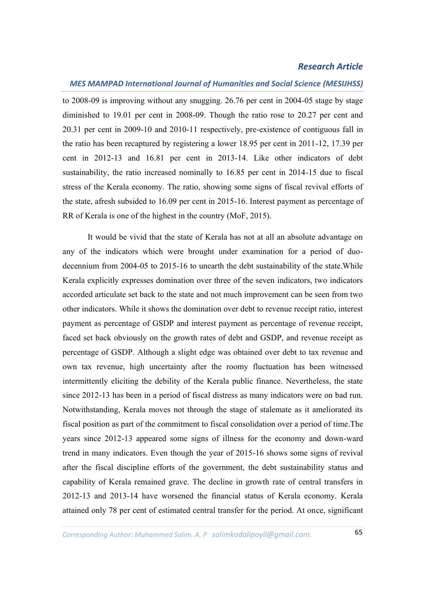#### *MES MAMPAD International Journal of Humanities and Social Science (MESIJHSS)*

to 2008-09 is improving without any snugging. 26.76 per cent in 2004-05 stage by stage diminished to 19.01 per cent in 2008-09. Though the ratio rose to 20.27 per cent and 20.31 per cent in 2009-10 and 2010-11 respectively, pre-existence of contiguous fall in the ratio has been recaptured by registering a lower 18.95 per cent in 2011-12, 17.39 per cent in 2012-13 and 16.81 per cent in 2013-14. Like other indicators of debt sustainability, the ratio increased nominally to 16.85 per cent in 2014-15 due to fiscal stress of the Kerala economy. The ratio, showing some signs of fiscal revival efforts of the state, afresh subsided to 16.09 per cent in 2015-16. Interest payment as percentage of RR of Kerala is one of the highest in the country (MoF, 2015).

It would be vivid that the state of Kerala has not at all an absolute advantage on any of the indicators which were brought under examination for a period of duodecennium from 2004-05 to 2015-16 to unearth the debt sustainability of the state.While Kerala explicitly expresses domination over three of the seven indicators, two indicators accorded articulate set back to the state and not much improvement can be seen from two other indicators. While it shows the domination over debt to revenue receipt ratio, interest payment as percentage of GSDP and interest payment as percentage of revenue receipt, faced set back obviously on the growth rates of debt and GSDP, and revenue receipt as percentage of GSDP. Although a slight edge was obtained over debt to tax revenue and own tax revenue, high uncertainty after the roomy fluctuation has been witnessed intermittently eliciting the debility of the Kerala public finance. Nevertheless, the state since 2012-13 has been in a period of fiscal distress as many indicators were on bad run. Notwithstanding, Kerala moves not through the stage of stalemate as it ameliorated its fiscal position as part of the commitment to fiscal consolidation over a period of time.The years since 2012-13 appeared some signs of illness for the economy and down-ward trend in many indicators. Even though the year of 2015-16 shows some signs of revival after the fiscal discipline efforts of the government, the debt sustainability status and capability of Kerala remained grave. The decline in growth rate of central transfers in 2012-13 and 2013-14 have worsened the financial status of Kerala economy. Kerala attained only 78 per cent of estimated central transfer for the period. At once, significant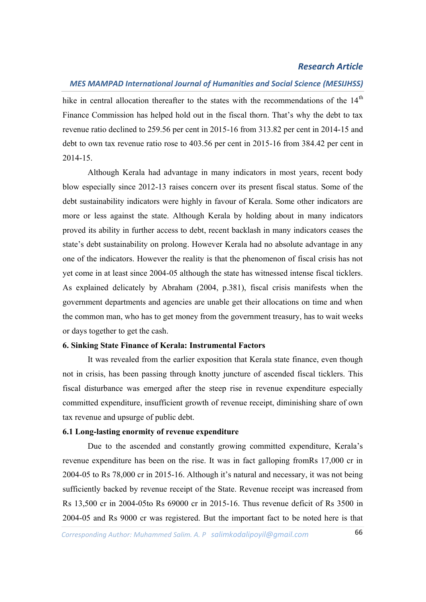## *MES MAMPAD International Journal of Humanities and Social Science (MESIJHSS)*

hike in central allocation thereafter to the states with the recommendations of the  $14<sup>th</sup>$ Finance Commission has helped hold out in the fiscal thorn. That's why the debt to tax revenue ratio declined to 259.56 per cent in 2015-16 from 313.82 per cent in 2014-15 and debt to own tax revenue ratio rose to 403.56 per cent in 2015-16 from 384.42 per cent in 2014-15.

Although Kerala had advantage in many indicators in most years, recent body blow especially since 2012-13 raises concern over its present fiscal status. Some of the debt sustainability indicators were highly in favour of Kerala. Some other indicators are more or less against the state. Although Kerala by holding about in many indicators proved its ability in further access to debt, recent backlash in many indicators ceases the state's debt sustainability on prolong. However Kerala had no absolute advantage in any one of the indicators. However the reality is that the phenomenon of fiscal crisis has not yet come in at least since 2004-05 although the state has witnessed intense fiscal ticklers. As explained delicately by Abraham (2004, p.381), fiscal crisis manifests when the government departments and agencies are unable get their allocations on time and when the common man, who has to get money from the government treasury, has to wait weeks or days together to get the cash.

#### **6. Sinking State Finance of Kerala: Instrumental Factors**

It was revealed from the earlier exposition that Kerala state finance, even though not in crisis, has been passing through knotty juncture of ascended fiscal ticklers. This fiscal disturbance was emerged after the steep rise in revenue expenditure especially committed expenditure, insufficient growth of revenue receipt, diminishing share of own tax revenue and upsurge of public debt.

#### **6.1 Long-lasting enormity of revenue expenditure**

Due to the ascended and constantly growing committed expenditure, Kerala's revenue expenditure has been on the rise. It was in fact galloping fromRs 17,000 cr in 2004-05 to Rs 78,000 cr in 2015-16. Although it's natural and necessary, it was not being sufficiently backed by revenue receipt of the State. Revenue receipt was increased from Rs 13,500 cr in 2004-05to Rs 69000 cr in 2015-16. Thus revenue deficit of Rs 3500 in 2004-05 and Rs 9000 cr was registered. But the important fact to be noted here is that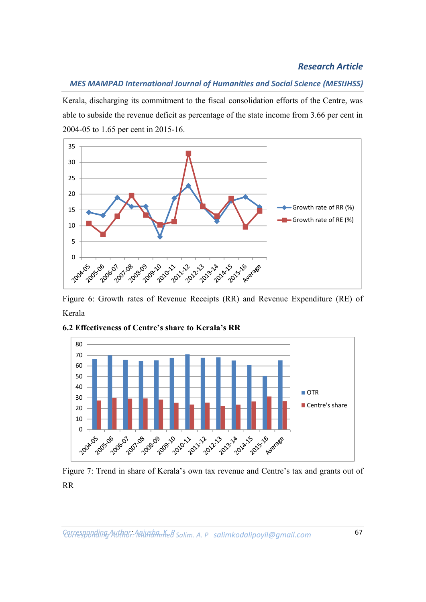## *MES MAMPAD International Journal of Humanities and Social Science (MESIJHSS)*

Kerala, discharging its commitment to the fiscal consolidation efforts of the Centre, was able to subside the revenue deficit as percentage of the state income from 3.66 per cent in 2004-05 to 1.65 per cent in 2015-16.



Figure 6: Growth rates of Revenue Receipts (RR) and Revenue Expenditure (RE) of Kerala



**6.2 Effectiveness of Centre's share to Kerala's RR**

Figure 7: Trend in share of Kerala's own tax revenue and Centre's tax and grants out of RR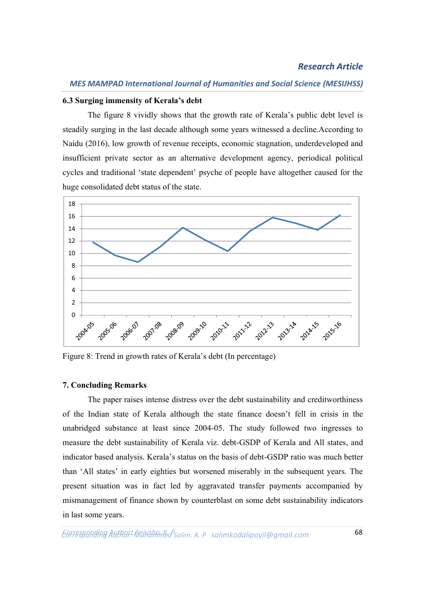#### *MES MAMPAD International Journal of Humanities and Social Science (MESIJHSS)*

#### **6.3 Surging immensity of Kerala's debt**

The figure 8 vividly shows that the growth rate of Kerala's public debt level is steadily surging in the last decade although some years witnessed a decline.According to Naidu (2016), low growth of revenue receipts, economic stagnation, underdeveloped and insufficient private sector as an alternative development agency, periodical political cycles and traditional 'state dependent' psyche of people have altogether caused for the huge consolidated debt status of the state.



Figure 8: Trend in growth rates of Kerala's debt (In percentage)

#### **7. Concluding Remarks**

The paper raises intense distress over the debt sustainability and creditworthiness of the Indian state of Kerala although the state finance doesn't fell in crisis in the unabridged substance at least since 2004-05. The study followed two ingresses to measure the debt sustainability of Kerala viz. debt-GSDP of Kerala and All states, and indicator based analysis. Kerala's status on the basis of debt-GSDP ratio was much better than 'All states' in early eighties but worsened miserably in the subsequent years. The present situation was in fact led by aggravated transfer payments accompanied by mismanagement of finance shown by counterblast on some debt sustainability indicators in last some years.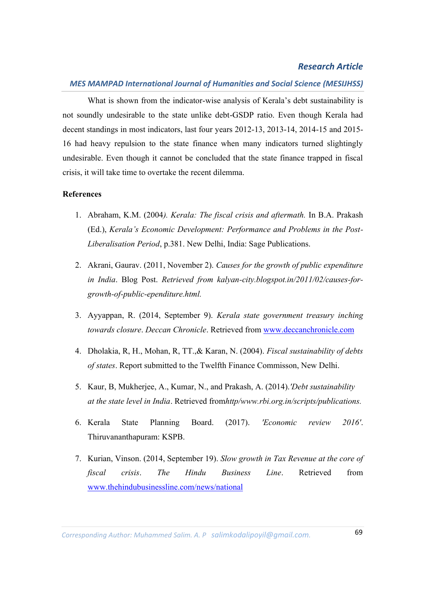#### *MES MAMPAD International Journal of Humanities and Social Science (MESIJHSS)*

What is shown from the indicator-wise analysis of Kerala's debt sustainability is not soundly undesirable to the state unlike debt-GSDP ratio. Even though Kerala had decent standings in most indicators, last four years 2012-13, 2013-14, 2014-15 and 2015- 16 had heavy repulsion to the state finance when many indicators turned slightingly undesirable. Even though it cannot be concluded that the state finance trapped in fiscal crisis, it will take time to overtake the recent dilemma.

#### **References**

- 1. Abraham, K.M. (2004*). Kerala: The fiscal crisis and aftermath.* In B.A. Prakash (Ed.), *Kerala's Economic Development: Performance and Problems in the Post-Liberalisation Period*, p.381. New Delhi, India: Sage Publications.
- 2. Akrani, Gaurav. (2011, November 2). *Causes for the growth of public expenditure in India*. Blog Post. *Retrieved from kalyan-city.blogspot.in/2011/02/causes-forgrowth-of-public-ependiture.html.*
- 3. Ayyappan, R. (2014, September 9). *Kerala state government treasury inching towards closure*. *Deccan Chronicle*. Retrieved from www.deccanchronicle.com
- 4. Dholakia, R, H., Mohan, R, TT.,& Karan, N. (2004). *Fiscal sustainability of debts of states*. Report submitted to the Twelfth Finance Commisson, New Delhi.
- 5. Kaur, B, Mukherjee, A., Kumar, N., and Prakash, A. (2014).*'Debt sustainability at the state level in India*. Retrieved from*http/www.rbi.org.in/scripts/publications.*
- 6. Kerala State Planning Board. (2017). *'Economic review 2016'*. Thiruvananthapuram: KSPB.
- 7. Kurian, Vinson. (2014, September 19). *Slow growth in Tax Revenue at the core of fiscal crisis*. *The Hindu Business Line*. Retrieved from www.thehindubusinessline.com/news/national

*Corresponding Author: Anjusha. K. P* 69 *Corresponding Author: Muhammed Salim. A. P salimkodalipoyil@gmail.com.*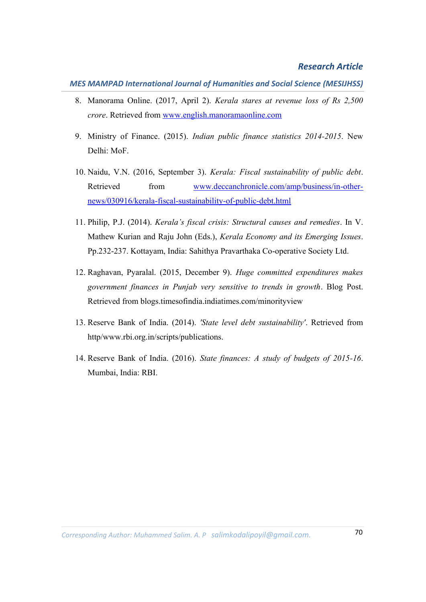*MES MAMPAD International Journal of Humanities and Social Science (MESIJHSS)*

- 8. Manorama Online. (2017, April 2). *Kerala stares at revenue loss of Rs 2,500 crore*. Retrieved from www.english.manoramaonline.com
- 9. Ministry of Finance. (2015). *Indian public finance statistics 2014-2015*. New Delhi: MoF.
- 10. Naidu, V.N. (2016, September 3). *Kerala: Fiscal sustainability of public debt*. Retrieved from www.deccanchronicle.com/amp/business/in-othernews/030916/kerala-fiscal-sustainability-of-public-debt.html
- 11. Philip, P.J. (2014). *Kerala's fiscal crisis: Structural causes and remedies*. In V. Mathew Kurian and Raju John (Eds.), *Kerala Economy and its Emerging Issues*. Pp.232-237. Kottayam, India: Sahithya Pravarthaka Co-operative Society Ltd.
- 12. Raghavan, Pyaralal. (2015, December 9). *Huge committed expenditures makes government finances in Punjab very sensitive to trends in growth*. Blog Post. Retrieved from blogs.timesofindia.indiatimes.com/minorityview
- 13. Reserve Bank of India. (2014). *'State level debt sustainability'*. Retrieved from http/www.rbi.org.in/scripts/publications.
- 14. Reserve Bank of India. (2016). *State finances: A study of budgets of 2015-16*. Mumbai, India: RBI.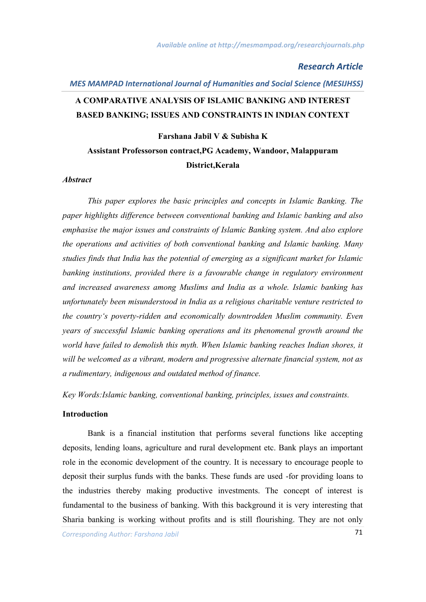# *MES MAMPAD International Journal of Humanities and Social Science (MESIJHSS)* **A COMPARATIVE ANALYSIS OF ISLAMIC BANKING AND INTEREST BASED BANKING; ISSUES AND CONSTRAINTS IN INDIAN CONTEXT**

# **Farshana Jabil V & Subisha K Assistant Professorson contract,PG Academy, Wandoor, Malappuram District,Kerala**

#### *Abstract*

*This paper explores the basic principles and concepts in Islamic Banking. The paper highlights difference between conventional banking and Islamic banking and also emphasise the major issues and constraints of Islamic Banking system. And also explore the operations and activities of both conventional banking and Islamic banking. Many studies finds that India has the potential of emerging as a significant market for Islamic banking institutions, provided there is a favourable change in regulatory environment and increased awareness among Muslims and India as a whole. Islamic banking has unfortunately been misunderstood in India as a religious charitable venture restricted to the country's poverty-ridden and economically downtrodden Muslim community. Even years of successful Islamic banking operations and its phenomenal growth around the world have failed to demolish this myth. When Islamic banking reaches Indian shores, it will be welcomed as a vibrant, modern and progressive alternate financial system, not as a rudimentary, indigenous and outdated method of finance.* 

*Key Words:Islamic banking, conventional banking, principles, issues and constraints.*

#### **Introduction**

Bank is a financial institution that performs several functions like accepting deposits, lending loans, agriculture and rural development etc. Bank plays an important role in the economic development of the country. It is necessary to encourage people to deposit their surplus funds with the banks. These funds are used -for providing loans to the industries thereby making productive investments. The concept of interest is fundamental to the business of banking. With this background it is very interesting that Sharia banking is working without profits and is still flourishing. They are not only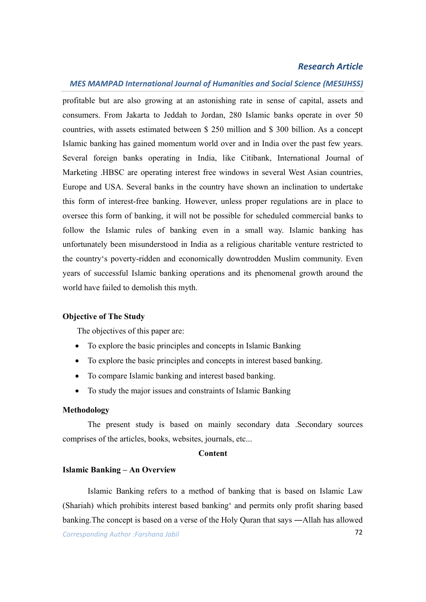## *MES MAMPAD International Journal of Humanities and Social Science (MESIJHSS)*

profitable but are also growing at an astonishing rate in sense of capital, assets and consumers. From Jakarta to Jeddah to Jordan, 280 Islamic banks operate in over 50 countries, with assets estimated between \$ 250 million and \$ 300 billion. As a concept Islamic banking has gained momentum world over and in India over the past few years. Several foreign banks operating in India, like Citibank, International Journal of Marketing .HBSC are operating interest free windows in several West Asian countries, Europe and USA. Several banks in the country have shown an inclination to undertake this form of interest-free banking. However, unless proper regulations are in place to oversee this form of banking, it will not be possible for scheduled commercial banks to follow the Islamic rules of banking even in a small way. Islamic banking has unfortunately been misunderstood in India as a religious charitable venture restricted to the country's poverty-ridden and economically downtrodden Muslim community. Even years of successful Islamic banking operations and its phenomenal growth around the world have failed to demolish this myth.

#### **Objective of The Study**

The objectives of this paper are:

- To explore the basic principles and concepts in Islamic Banking
- To explore the basic principles and concepts in interest based banking.
- To compare Islamic banking and interest based banking.
- To study the major issues and constraints of Islamic Banking

#### **Methodology**

The present study is based on mainly secondary data .Secondary sources comprises of the articles, books, websites, journals, etc...

#### **Content**

#### **Islamic Banking – An Overview**

Islamic Banking refers to a method of banking that is based on Islamic Law (Shariah) which prohibits interest based banking' and permits only profit sharing based banking.The concept is based on a verse of the Holy Quran that says ―Allah has allowed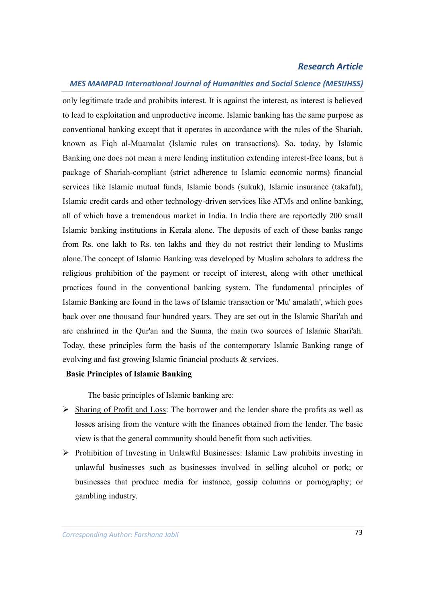### *MES MAMPAD International Journal of Humanities and Social Science (MESIJHSS)*

only legitimate trade and prohibits interest. It is against the interest, as interest is believed to lead to exploitation and unproductive income. Islamic banking has the same purpose as conventional banking except that it operates in accordance with the rules of the Shariah, known as Fiqh al-Muamalat (Islamic rules on transactions). So, today, by Islamic Banking one does not mean a mere lending institution extending interest-free loans, but a package of Shariah-compliant (strict adherence to Islamic economic norms) financial services like Islamic mutual funds, Islamic bonds (sukuk), Islamic insurance (takaful), Islamic credit cards and other technology-driven services like ATMs and online banking, all of which have a tremendous market in India. In India there are reportedly 200 small Islamic banking institutions in Kerala alone. The deposits of each of these banks range from Rs. one lakh to Rs. ten lakhs and they do not restrict their lending to Muslims alone.The concept of Islamic Banking was developed by Muslim scholars to address the religious prohibition of the payment or receipt of interest, along with other unethical practices found in the conventional banking system. The fundamental principles of Islamic Banking are found in the laws of Islamic transaction or 'Mu' amalath', which goes back over one thousand four hundred years. They are set out in the Islamic Shari'ah and are enshrined in the Qur'an and the Sunna, the main two sources of Islamic Shari'ah. Today, these principles form the basis of the contemporary Islamic Banking range of evolving and fast growing Islamic financial products & services.

## **Basic Principles of Islamic Banking**

The basic principles of Islamic banking are:

- $\triangleright$  Sharing of Profit and Loss: The borrower and the lender share the profits as well as losses arising from the venture with the finances obtained from the lender. The basic view is that the general community should benefit from such activities.
- $\triangleright$  Prohibition of Investing in Unlawful Businesses: Islamic Law prohibits investing in unlawful businesses such as businesses involved in selling alcohol or pork; or businesses that produce media for instance, gossip columns or pornography; or gambling industry.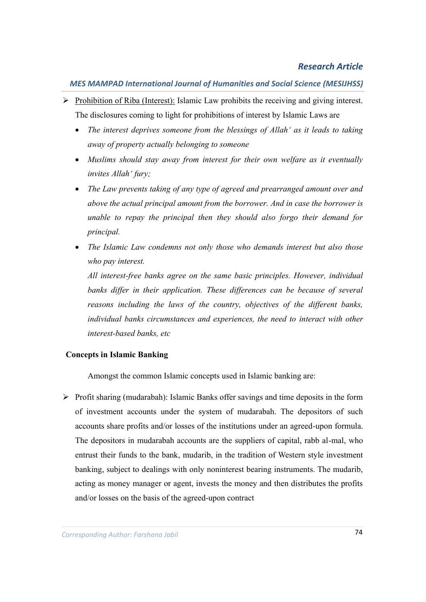- $\triangleright$  Prohibition of Riba (Interest): Islamic Law prohibits the receiving and giving interest. The disclosures coming to light for prohibitions of interest by Islamic Laws are
	- *The interest deprives someone from the blessings of Allah' as it leads to taking away of property actually belonging to someone*
	- *Muslims should stay away from interest for their own welfare as it eventually invites Allah' fury;*
	- *The Law prevents taking of any type of agreed and prearranged amount over and above the actual principal amount from the borrower. And in case the borrower is unable to repay the principal then they should also forgo their demand for principal.*
	- *The Islamic Law condemns not only those who demands interest but also those who pay interest.*

*All interest-free banks agree on the same basic principles. However, individual banks differ in their application. These differences can be because of several reasons including the laws of the country, objectives of the different banks, individual banks circumstances and experiences, the need to interact with other interest-based banks, etc*

## **Concepts in Islamic Banking**

Amongst the common Islamic concepts used in Islamic banking are:

 $\triangleright$  Profit sharing (mudarabah): Islamic Banks offer savings and time deposits in the form of investment accounts under the system of mudarabah. The depositors of such accounts share profits and/or losses of the institutions under an agreed-upon formula. The depositors in mudarabah accounts are the suppliers of capital, rabb al-mal, who entrust their funds to the bank, mudarib, in the tradition of Western style investment banking, subject to dealings with only noninterest bearing instruments. The mudarib, acting as money manager or agent, invests the money and then distributes the profits and/or losses on the basis of the agreed-upon contract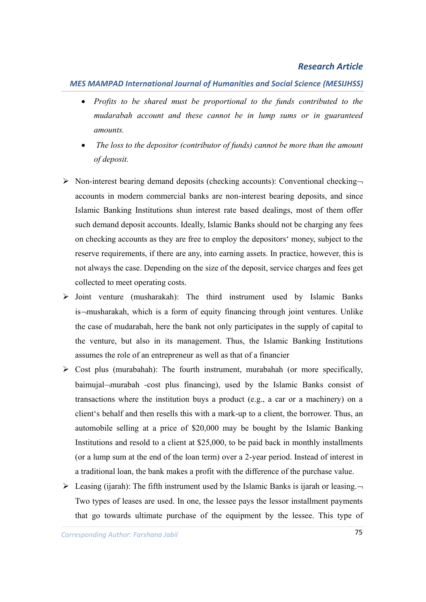## *MES MAMPAD International Journal of Humanities and Social Science (MESIJHSS)*

- *Profits to be shared must be proportional to the funds contributed to the mudarabah account and these cannot be in lump sums or in guaranteed amounts.*
- *The loss to the depositor (contributor of funds) cannot be more than the amount of deposit.*
- $\triangleright$  Non-interest bearing demand deposits (checking accounts): Conventional checkingaccounts in modern commercial banks are non-interest bearing deposits, and since Islamic Banking Institutions shun interest rate based dealings, most of them offer such demand deposit accounts. Ideally, Islamic Banks should not be charging any fees on checking accounts as they are free to employ the depositors' money, subject to the reserve requirements, if there are any, into earning assets. In practice, however, this is not always the case. Depending on the size of the deposit, service charges and fees get collected to meet operating costs.
- $\triangleright$  Joint venture (musharakah): The third instrument used by Islamic Banks is-musharakah, which is a form of equity financing through joint ventures. Unlike the case of mudarabah, here the bank not only participates in the supply of capital to the venture, but also in its management. Thus, the Islamic Banking Institutions assumes the role of an entrepreneur as well as that of a financier
- $\triangleright$  Cost plus (murabahah): The fourth instrument, murabahah (or more specifically, baimujal-murabah -cost plus financing), used by the Islamic Banks consist of transactions where the institution buys a product (e.g., a car or a machinery) on a client's behalf and then resells this with a mark-up to a client, the borrower. Thus, an automobile selling at a price of \$20,000 may be bought by the Islamic Banking Institutions and resold to a client at \$25,000, to be paid back in monthly installments (or a lump sum at the end of the loan term) over a 2-year period. Instead of interest in a traditional loan, the bank makes a profit with the difference of the purchase value.
- $\triangleright$  Leasing (ijarah): The fifth instrument used by the Islamic Banks is ijarah or leasing. Two types of leases are used. In one, the lessee pays the lessor installment payments that go towards ultimate purchase of the equipment by the lessee. This type of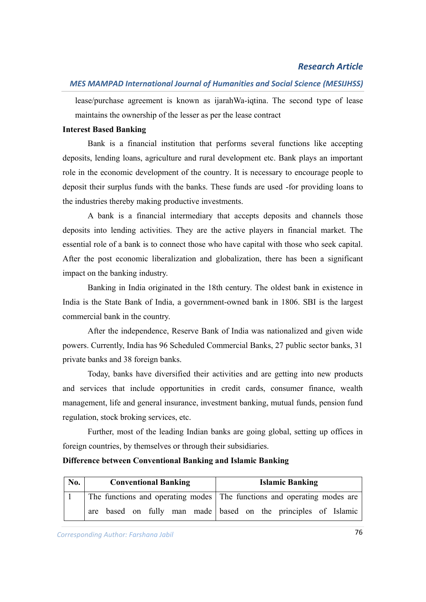lease/purchase agreement is known as ijarahWa-iqtina. The second type of lease maintains the ownership of the lesser as per the lease contract

## **Interest Based Banking**

Bank is a financial institution that performs several functions like accepting deposits, lending loans, agriculture and rural development etc. Bank plays an important role in the economic development of the country. It is necessary to encourage people to deposit their surplus funds with the banks. These funds are used -for providing loans to the industries thereby making productive investments.

A bank is a financial intermediary that accepts deposits and channels those deposits into lending activities. They are the active players in financial market. The essential role of a bank is to connect those who have capital with those who seek capital. After the post economic liberalization and globalization, there has been a significant impact on the banking industry.

Banking in India originated in the 18th century. The oldest bank in existence in India is the State Bank of India, a government-owned bank in 1806. SBI is the largest commercial bank in the country.

After the independence, Reserve Bank of India was nationalized and given wide powers. Currently, India has 96 Scheduled Commercial Banks, 27 public sector banks, 31 private banks and 38 foreign banks.

Today, banks have diversified their activities and are getting into new products and services that include opportunities in credit cards, consumer finance, wealth management, life and general insurance, investment banking, mutual funds, pension fund regulation, stock broking services, etc.

Further, most of the leading Indian banks are going global, setting up offices in foreign countries, by themselves or through their subsidiaries.

## **Difference between Conventional Banking and Islamic Banking**

| No. | <b>Conventional Banking</b> | <b>Islamic Banking</b>                                                  |  |  |
|-----|-----------------------------|-------------------------------------------------------------------------|--|--|
|     |                             | The functions and operating modes The functions and operating modes are |  |  |
|     |                             | are based on fully man made based on the principles of Islamic          |  |  |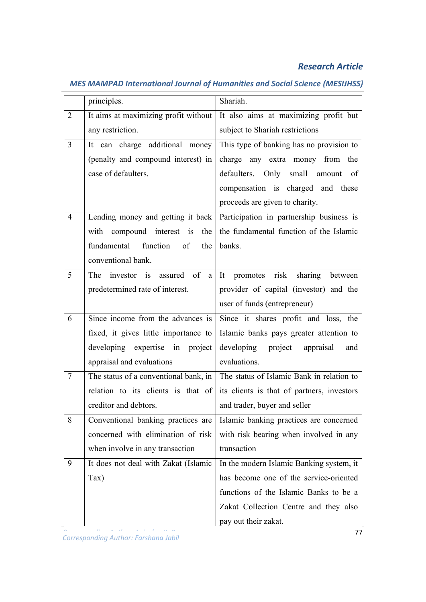|                | principles.                          | Shariah.                                                                                |  |  |
|----------------|--------------------------------------|-----------------------------------------------------------------------------------------|--|--|
| $\overline{2}$ | It aims at maximizing profit without | It also aims at maximizing profit but                                                   |  |  |
|                | any restriction.                     | subject to Shariah restrictions                                                         |  |  |
| $\overline{3}$ | It can charge additional money       | This type of banking has no provision to                                                |  |  |
|                | (penalty and compound interest) in   | charge any extra money from the                                                         |  |  |
|                | case of defaulters.                  | defaulters. Only small amount of                                                        |  |  |
|                |                                      | compensation is charged and these                                                       |  |  |
|                |                                      | proceeds are given to charity.                                                          |  |  |
| $\overline{4}$ | Lending money and getting it back    | Participation in partnership business is                                                |  |  |
|                | with compound interest is the        | the fundamental function of the Islamic                                                 |  |  |
|                | fundamental function<br>of<br>the    | banks.                                                                                  |  |  |
|                | conventional bank.                   |                                                                                         |  |  |
| 5              | The investor is assured of a         | It promotes risk sharing between                                                        |  |  |
|                | predetermined rate of interest.      | provider of capital (investor) and the                                                  |  |  |
|                |                                      | user of funds (entrepreneur)                                                            |  |  |
| 6              | Since income from the advances is    | Since it shares profit and loss, the                                                    |  |  |
|                | fixed, it gives little importance to | Islamic banks pays greater attention to                                                 |  |  |
|                | developing expertise in project      | developing project<br>appraisal<br>and                                                  |  |  |
|                | appraisal and evaluations            | evaluations.                                                                            |  |  |
| 7              |                                      | The status of a conventional bank, in $\vert$ The status of Islamic Bank in relation to |  |  |
|                | relation to its clients is that of   | its clients is that of partners, investors                                              |  |  |
|                | creditor and debtors.                | and trader, buyer and seller                                                            |  |  |
| 8              | Conventional banking practices are   | Islamic banking practices are concerned                                                 |  |  |
|                | concerned with elimination of risk   | with risk bearing when involved in any                                                  |  |  |
|                | when involve in any transaction      | transaction                                                                             |  |  |
| 9              | It does not deal with Zakat (Islamic | In the modern Islamic Banking system, it                                                |  |  |
|                | $\text{Tax)}$                        | has become one of the service-oriented                                                  |  |  |
|                |                                      | functions of the Islamic Banks to be a                                                  |  |  |
|                |                                      | Zakat Collection Centre and they also                                                   |  |  |
|                |                                      | pay out their zakat.                                                                    |  |  |

## *MES MAMPAD International Journal of Humanities and Social Science (MESIJHSS)*

*Corresponding Author: Anjusha. K. P* 77 *Corresponding Author: Farshana Jabil*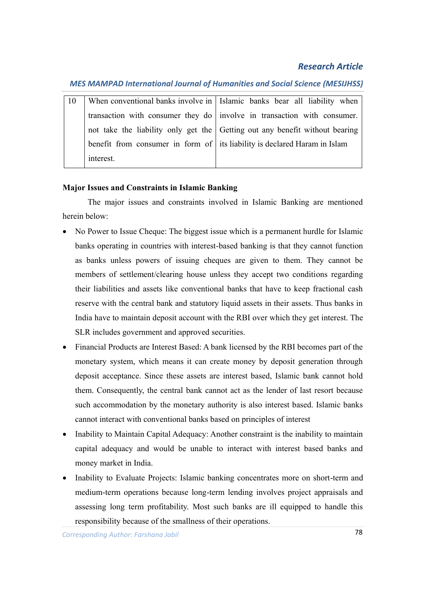## *MES MAMPAD International Journal of Humanities and Social Science (MESIJHSS)*

| -10 |           | When conventional banks involve in   Islamic banks bear all liability when  |
|-----|-----------|-----------------------------------------------------------------------------|
|     |           | transaction with consumer they do   involve in transaction with consumer.   |
|     |           | not take the liability only get the Getting out any benefit without bearing |
|     |           | benefit from consumer in form of its liability is declared Haram in Islam   |
|     | interest. |                                                                             |

## **Major Issues and Constraints in Islamic Banking**

The major issues and constraints involved in Islamic Banking are mentioned herein below:

- No Power to Issue Cheque: The biggest issue which is a permanent hurdle for Islamic banks operating in countries with interest-based banking is that they cannot function as banks unless powers of issuing cheques are given to them. They cannot be members of settlement/clearing house unless they accept two conditions regarding their liabilities and assets like conventional banks that have to keep fractional cash reserve with the central bank and statutory liquid assets in their assets. Thus banks in India have to maintain deposit account with the RBI over which they get interest. The SLR includes government and approved securities.
- Financial Products are Interest Based: A bank licensed by the RBI becomes part of the monetary system, which means it can create money by deposit generation through deposit acceptance. Since these assets are interest based, Islamic bank cannot hold them. Consequently, the central bank cannot act as the lender of last resort because such accommodation by the monetary authority is also interest based. Islamic banks cannot interact with conventional banks based on principles of interest
- Inability to Maintain Capital Adequacy: Another constraint is the inability to maintain capital adequacy and would be unable to interact with interest based banks and money market in India.
- Inability to Evaluate Projects: Islamic banking concentrates more on short-term and medium-term operations because long-term lending involves project appraisals and assessing long term profitability. Most such banks are ill equipped to handle this responsibility because of the smallness of their operations.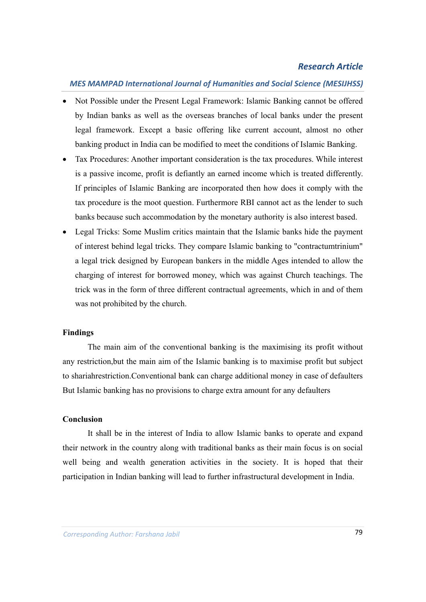## *MES MAMPAD International Journal of Humanities and Social Science (MESIJHSS)*

- Not Possible under the Present Legal Framework: Islamic Banking cannot be offered by Indian banks as well as the overseas branches of local banks under the present legal framework. Except a basic offering like current account, almost no other banking product in India can be modified to meet the conditions of Islamic Banking.
- Tax Procedures: Another important consideration is the tax procedures. While interest is a passive income, profit is defiantly an earned income which is treated differently. If principles of Islamic Banking are incorporated then how does it comply with the tax procedure is the moot question. Furthermore RBI cannot act as the lender to such banks because such accommodation by the monetary authority is also interest based.
- Legal Tricks: Some Muslim critics maintain that the Islamic banks hide the payment of interest behind legal tricks. They compare Islamic banking to "contractumtrinium" a legal trick designed by European bankers in the middle Ages intended to allow the charging of interest for borrowed money, which was against Church teachings. The trick was in the form of three different contractual agreements, which in and of them was not prohibited by the church.

#### **Findings**

The main aim of the conventional banking is the maximising its profit without any restriction,but the main aim of the Islamic banking is to maximise profit but subject to shariahrestriction.Conventional bank can charge additional money in case of defaulters But Islamic banking has no provisions to charge extra amount for any defaulters

### **Conclusion**

It shall be in the interest of India to allow Islamic banks to operate and expand their network in the country along with traditional banks as their main focus is on social well being and wealth generation activities in the society. It is hoped that their participation in Indian banking will lead to further infrastructural development in India.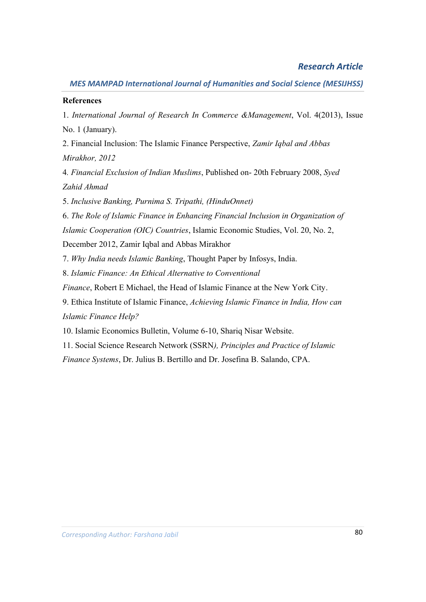## **References**

1. *International Journal of Research In Commerce &Management*, Vol. 4(2013), Issue No. 1 (January).

2. Financial Inclusion: The Islamic Finance Perspective, *Zamir Iqbal and Abbas Mirakhor, 2012*

4*. Financial Exclusion of Indian Muslims*, Published on- 20th February 2008, *Syed Zahid Ahmad*

5. *Inclusive Banking, Purnima S. Tripathi, (HinduOnnet)*

6. *The Role of Islamic Finance in Enhancing Financial Inclusion in Organization of*

*Islamic Cooperation (OIC) Countries*, Islamic Economic Studies, Vol. 20, No. 2,

December 2012, Zamir Iqbal and Abbas Mirakhor

7. *Why India needs Islamic Banking*, Thought Paper by Infosys, India.

8. *Islamic Finance: An Ethical Alternative to Conventional*

*Finance*, Robert E Michael, the Head of Islamic Finance at the New York City.

9. Ethica Institute of Islamic Finance, *Achieving Islamic Finance in India, How can Islamic Finance Help?*

10. Islamic Economics Bulletin, Volume 6-10, Shariq Nisar Website.

11. Social Science Research Network (SSRN*), Principles and Practice of Islamic*

*Finance Systems*, Dr. Julius B. Bertillo and Dr. Josefina B. Salando, CPA.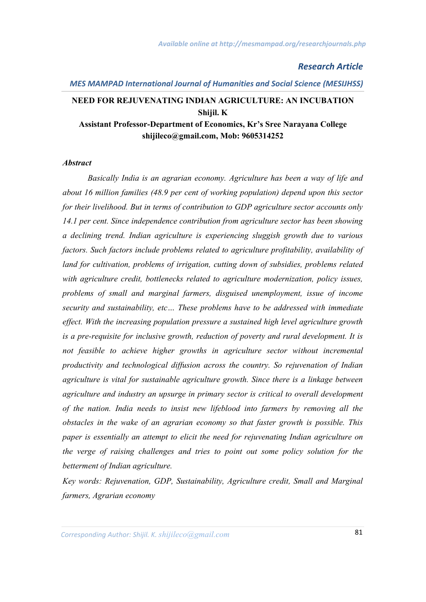#### *MES MAMPAD International Journal of Humanities and Social Science (MESIJHSS)*

## **NEED FOR REJUVENATING INDIAN AGRICULTURE: AN INCUBATION Shijil. K Assistant Professor-Department of Economics, Kr's Sree Narayana College**

**shijileco@gmail.com, Mob: 9605314252**

#### *Abstract*

*Basically India is an agrarian economy. Agriculture has been a way of life and about 16 million families (48.9 per cent of working population) depend upon this sector for their livelihood. But in terms of contribution to GDP agriculture sector accounts only 14.1 per cent. Since independence contribution from agriculture sector has been showing a declining trend. Indian agriculture is experiencing sluggish growth due to various factors. Such factors include problems related to agriculture profitability, availability of land for cultivation, problems of irrigation, cutting down of subsidies, problems related with agriculture credit, bottlenecks related to agriculture modernization, policy issues, problems of small and marginal farmers, disguised unemployment, issue of income security and sustainability, etc… These problems have to be addressed with immediate effect. With the increasing population pressure a sustained high level agriculture growth is a pre-requisite for inclusive growth, reduction of poverty and rural development. It is not feasible to achieve higher growths in agriculture sector without incremental productivity and technological diffusion across the country. So rejuvenation of Indian agriculture is vital for sustainable agriculture growth. Since there is a linkage between agriculture and industry an upsurge in primary sector is critical to overall development of the nation. India needs to insist new lifeblood into farmers by removing all the obstacles in the wake of an agrarian economy so that faster growth is possible. This paper is essentially an attempt to elicit the need for rejuvenating Indian agriculture on the verge of raising challenges and tries to point out some policy solution for the betterment of Indian agriculture.* 

*Key words: Rejuvenation, GDP, Sustainability, Agriculture credit, Small and Marginal farmers, Agrarian economy*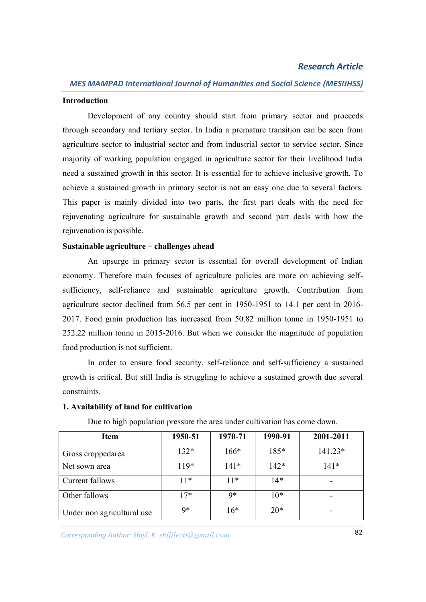#### **Introduction**

Development of any country should start from primary sector and proceeds through secondary and tertiary sector. In India a premature transition can be seen from agriculture sector to industrial sector and from industrial sector to service sector. Since majority of working population engaged in agriculture sector for their livelihood India need a sustained growth in this sector. It is essential for to achieve inclusive growth. To achieve a sustained growth in primary sector is not an easy one due to several factors. This paper is mainly divided into two parts, the first part deals with the need for rejuvenating agriculture for sustainable growth and second part deals with how the rejuvenation is possible.

#### **Sustainable agriculture – challenges ahead**

An upsurge in primary sector is essential for overall development of Indian economy. Therefore main focuses of agriculture policies are more on achieving selfsufficiency, self-reliance and sustainable agriculture growth. Contribution from agriculture sector declined from 56.5 per cent in 1950-1951 to 14.1 per cent in 2016- 2017. Food grain production has increased from 50.82 million tonne in 1950-1951 to 252.22 million tonne in 2015-2016. But when we consider the magnitude of population food production is not sufficient.

In order to ensure food security, self-reliance and self-sufficiency a sustained growth is critical. But still India is struggling to achieve a sustained growth due several constraints.

#### **1. Availability of land for cultivation**

| Item                       | 1950-51 | 1970-71 | 1990-91 | 2001-2011 |
|----------------------------|---------|---------|---------|-----------|
| Gross croppedarea          | $132*$  | $166*$  | 185*    | $141.23*$ |
| Net sown area              | $119*$  | $141*$  | $142*$  | $141*$    |
| Current fallows            | $11*$   | $11*$   | $14*$   |           |
| Other fallows              | $17*$   | q*      | $10*$   |           |
| Under non agricultural use | q*      | $16*$   | $20*$   |           |

Due to high population pressure the area under cultivation has come down.

*Corresponding Author: Anjusha. K. P* 82 *Corresponding Author: Shijil. K. shijileco@gmail.com*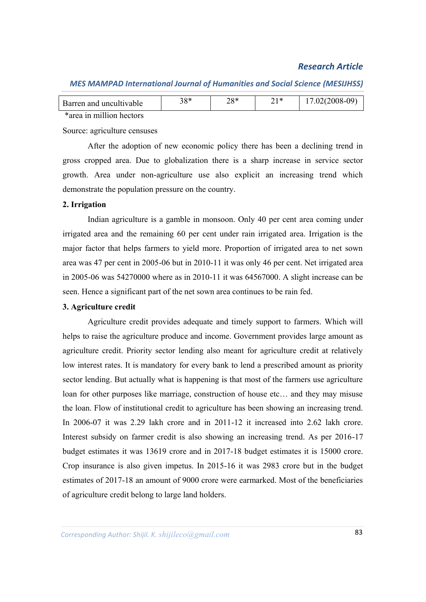| Barren and uncultivable  | 38* | າ໐∗ | ገ 1 * | 17.02(2008-09) |
|--------------------------|-----|-----|-------|----------------|
| *area in million hectors |     |     |       |                |

#### *MES MAMPAD International Journal of Humanities and Social Science (MESIJHSS)*

Source: agriculture censuses

After the adoption of new economic policy there has been a declining trend in gross cropped area. Due to globalization there is a sharp increase in service sector growth. Area under non-agriculture use also explicit an increasing trend which demonstrate the population pressure on the country.

#### **2. Irrigation**

Indian agriculture is a gamble in monsoon. Only 40 per cent area coming under irrigated area and the remaining 60 per cent under rain irrigated area. Irrigation is the major factor that helps farmers to yield more. Proportion of irrigated area to net sown area was 47 per cent in 2005-06 but in 2010-11 it was only 46 per cent. Net irrigated area in 2005-06 was 54270000 where as in 2010-11 it was 64567000. A slight increase can be seen. Hence a significant part of the net sown area continues to be rain fed.

#### **3. Agriculture credit**

Agriculture credit provides adequate and timely support to farmers. Which will helps to raise the agriculture produce and income. Government provides large amount as agriculture credit. Priority sector lending also meant for agriculture credit at relatively low interest rates. It is mandatory for every bank to lend a prescribed amount as priority sector lending. But actually what is happening is that most of the farmers use agriculture loan for other purposes like marriage, construction of house etc… and they may misuse the loan. Flow of institutional credit to agriculture has been showing an increasing trend. In 2006-07 it was 2.29 lakh crore and in 2011-12 it increased into 2.62 lakh crore. Interest subsidy on farmer credit is also showing an increasing trend. As per 2016-17 budget estimates it was 13619 crore and in 2017-18 budget estimates it is 15000 crore. Crop insurance is also given impetus. In 2015-16 it was 2983 crore but in the budget estimates of 2017-18 an amount of 9000 crore were earmarked. Most of the beneficiaries of agriculture credit belong to large land holders.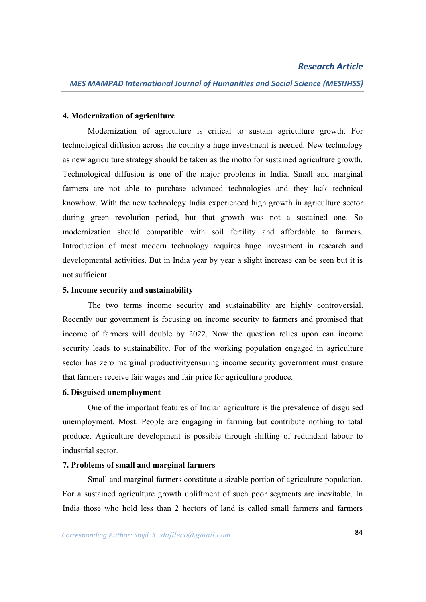#### **4. Modernization of agriculture**

Modernization of agriculture is critical to sustain agriculture growth. For technological diffusion across the country a huge investment is needed. New technology as new agriculture strategy should be taken as the motto for sustained agriculture growth. Technological diffusion is one of the major problems in India. Small and marginal farmers are not able to purchase advanced technologies and they lack technical knowhow. With the new technology India experienced high growth in agriculture sector during green revolution period, but that growth was not a sustained one. So modernization should compatible with soil fertility and affordable to farmers. Introduction of most modern technology requires huge investment in research and developmental activities. But in India year by year a slight increase can be seen but it is not sufficient.

#### **5. Income security and sustainability**

The two terms income security and sustainability are highly controversial. Recently our government is focusing on income security to farmers and promised that income of farmers will double by 2022. Now the question relies upon can income security leads to sustainability. For of the working population engaged in agriculture sector has zero marginal productivityensuring income security government must ensure that farmers receive fair wages and fair price for agriculture produce.

#### **6. Disguised unemployment**

One of the important features of Indian agriculture is the prevalence of disguised unemployment. Most. People are engaging in farming but contribute nothing to total produce. Agriculture development is possible through shifting of redundant labour to industrial sector.

#### **7. Problems of small and marginal farmers**

Small and marginal farmers constitute a sizable portion of agriculture population. For a sustained agriculture growth upliftment of such poor segments are inevitable. In India those who hold less than 2 hectors of land is called small farmers and farmers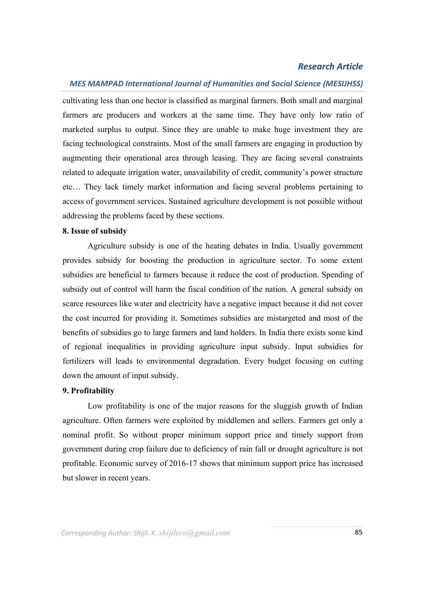#### *MES MAMPAD International Journal of Humanities and Social Science (MESIJHSS)*

cultivating less than one hector is classified as marginal farmers. Both small and marginal farmers are producers and workers at the same time. They have only low ratio of marketed surplus to output. Since they are unable to make huge investment they are facing technological constraints. Most of the small farmers are engaging in production by augmenting their operational area through leasing. They are facing several constraints related to adequate irrigation water, unavailability of credit, community's power structure etc… They lack timely market information and facing several problems pertaining to access of government services. Sustained agriculture development is not possible without addressing the problems faced by these sections.

#### **8. Issue of subsidy**

Agriculture subsidy is one of the heating debates in India. Usually government provides subsidy for boosting the production in agriculture sector. To some extent subsidies are beneficial to farmers because it reduce the cost of production. Spending of subsidy out of control will harm the fiscal condition of the nation. A general subsidy on scarce resources like water and electricity have a negative impact because it did not cover the cost incurred for providing it. Sometimes subsidies are mistargeted and most of the benefits of subsidies go to large farmers and land holders. In India there exists some kind of regional inequalities in providing agriculture input subsidy. Input subsidies for fertilizers will leads to environmental degradation. Every budget focusing on cutting down the amount of input subsidy.

#### **9. Profitability**

Low profitability is one of the major reasons for the sluggish growth of Indian agriculture. Often farmers were exploited by middlemen and sellers. Farmers get only a nominal profit. So without proper minimum support price and timely support from government during crop failure due to deficiency of rain fall or drought agriculture is not profitable. Economic survey of 2016-17 shows that minimum support price has increased but slower in recent years.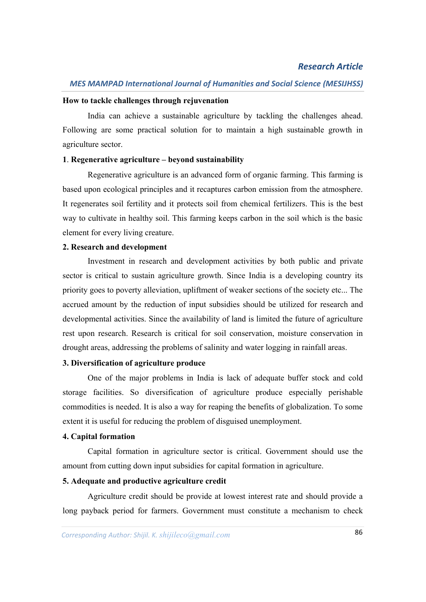#### **How to tackle challenges through rejuvenation**

India can achieve a sustainable agriculture by tackling the challenges ahead. Following are some practical solution for to maintain a high sustainable growth in agriculture sector.

#### **1**. **Regenerative agriculture – beyond sustainability**

Regenerative agriculture is an advanced form of organic farming. This farming is based upon ecological principles and it recaptures carbon emission from the atmosphere. It regenerates soil fertility and it protects soil from chemical fertilizers. This is the best way to cultivate in healthy soil. This farming keeps carbon in the soil which is the basic element for every living creature.

#### **2. Research and development**

Investment in research and development activities by both public and private sector is critical to sustain agriculture growth. Since India is a developing country its priority goes to poverty alleviation, upliftment of weaker sections of the society etc... The accrued amount by the reduction of input subsidies should be utilized for research and developmental activities. Since the availability of land is limited the future of agriculture rest upon research. Research is critical for soil conservation, moisture conservation in drought areas, addressing the problems of salinity and water logging in rainfall areas.

## **3. Diversification of agriculture produce**

One of the major problems in India is lack of adequate buffer stock and cold storage facilities. So diversification of agriculture produce especially perishable commodities is needed. It is also a way for reaping the benefits of globalization. To some extent it is useful for reducing the problem of disguised unemployment.

#### **4. Capital formation**

Capital formation in agriculture sector is critical. Government should use the amount from cutting down input subsidies for capital formation in agriculture.

## **5. Adequate and productive agriculture credit**

Agriculture credit should be provide at lowest interest rate and should provide a long payback period for farmers. Government must constitute a mechanism to check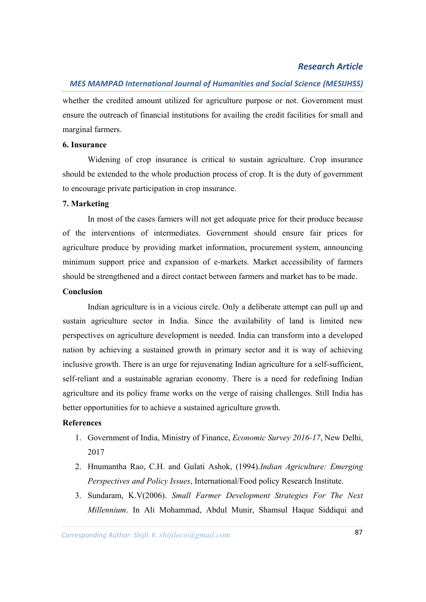## *MES MAMPAD International Journal of Humanities and Social Science (MESIJHSS)*

whether the credited amount utilized for agriculture purpose or not. Government must ensure the outreach of financial institutions for availing the credit facilities for small and marginal farmers.

#### **6. Insurance**

Widening of crop insurance is critical to sustain agriculture. Crop insurance should be extended to the whole production process of crop. It is the duty of government to encourage private participation in crop insurance.

#### **7. Marketing**

In most of the cases farmers will not get adequate price for their produce because of the interventions of intermediates. Government should ensure fair prices for agriculture produce by providing market information, procurement system, announcing minimum support price and expansion of e-markets. Market accessibility of farmers should be strengthened and a direct contact between farmers and market has to be made.

#### **Conclusion**

Indian agriculture is in a vicious circle. Only a deliberate attempt can pull up and sustain agriculture sector in India. Since the availability of land is limited new perspectives on agriculture development is needed. India can transform into a developed nation by achieving a sustained growth in primary sector and it is way of achieving inclusive growth. There is an urge for rejuvenating Indian agriculture for a self-sufficient, self-reliant and a sustainable agrarian economy. There is a need for redefining Indian agriculture and its policy frame works on the verge of raising challenges. Still India has better opportunities for to achieve a sustained agriculture growth.

### **References**

- 1. Government of India, Ministry of Finance, *Economic Survey 2016-17*, New Delhi, 2017
- 2. Hnumantha Rao, C.H. and Gulati Ashok, (1994).*Indian Agriculture: Emerging Perspectives and Policy Issues*, International/Food policy Research Institute.
- 3. Sundaram, K.V(2006). *Small Farmer Development Strategies For The Next Millennium*. In Ali Mohammad, Abdul Munir, Shamsul Haque Siddiqui and

*Corresponding Author: Anjusha. K. P* 87 *Corresponding Author: Shijil. K. shijileco@gmail.com*